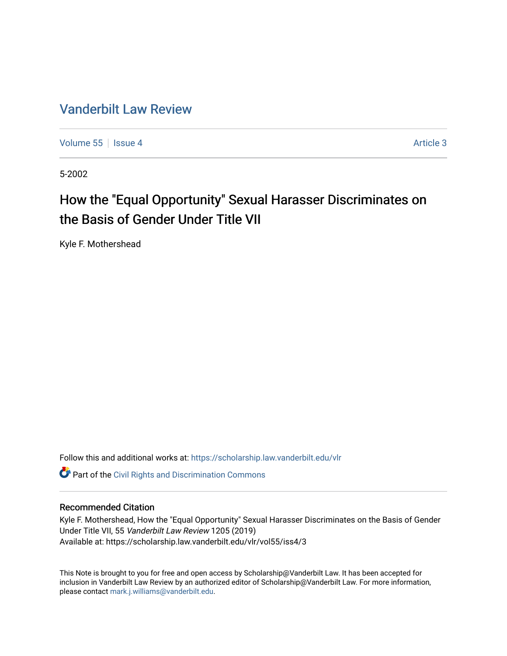# [Vanderbilt Law Review](https://scholarship.law.vanderbilt.edu/vlr)

[Volume 55](https://scholarship.law.vanderbilt.edu/vlr/vol55) | [Issue 4](https://scholarship.law.vanderbilt.edu/vlr/vol55/iss4) Article 3

5-2002

# How the "Equal Opportunity" Sexual Harasser Discriminates on the Basis of Gender Under Title VII

Kyle F. Mothershead

Follow this and additional works at: [https://scholarship.law.vanderbilt.edu/vlr](https://scholarship.law.vanderbilt.edu/vlr?utm_source=scholarship.law.vanderbilt.edu%2Fvlr%2Fvol55%2Fiss4%2F3&utm_medium=PDF&utm_campaign=PDFCoverPages)

**Part of the Civil Rights and Discrimination Commons** 

#### Recommended Citation

Kyle F. Mothershead, How the "Equal Opportunity" Sexual Harasser Discriminates on the Basis of Gender Under Title VII, 55 Vanderbilt Law Review 1205 (2019) Available at: https://scholarship.law.vanderbilt.edu/vlr/vol55/iss4/3

This Note is brought to you for free and open access by Scholarship@Vanderbilt Law. It has been accepted for inclusion in Vanderbilt Law Review by an authorized editor of Scholarship@Vanderbilt Law. For more information, please contact [mark.j.williams@vanderbilt.edu.](mailto:mark.j.williams@vanderbilt.edu)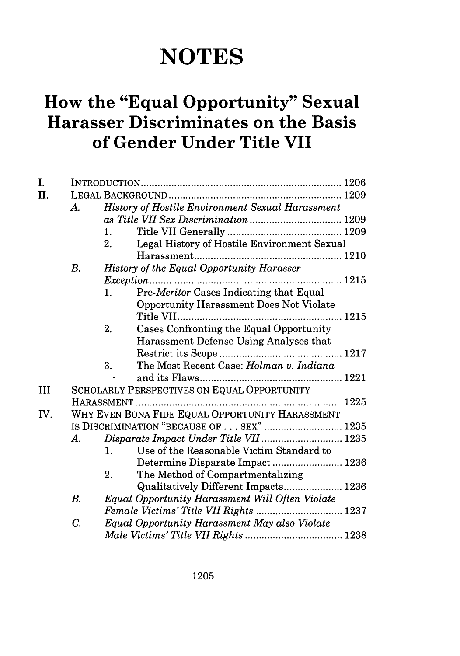# **NOTES**

# **How the "Equal Opportunity" Sexual Harasser Discriminates on the Basis of Gender Under Title VII**

| I.   |             |                                                   |
|------|-------------|---------------------------------------------------|
| II.  |             |                                                   |
|      | А.          | History of Hostile Environment Sexual Harassment  |
|      |             |                                                   |
|      |             | $\mathbf{1}_{+}$                                  |
|      |             | Legal History of Hostile Environment Sexual<br>2. |
|      |             |                                                   |
|      | $B_{\cdot}$ | <b>History of the Equal Opportunity Harasser</b>  |
|      |             |                                                   |
|      |             | Pre-Meritor Cases Indicating that Equal<br>1.     |
|      |             | <b>Opportunity Harassment Does Not Violate</b>    |
|      |             |                                                   |
|      |             | 2.<br>Cases Confronting the Equal Opportunity     |
|      |             | Harassment Defense Using Analyses that            |
|      |             |                                                   |
|      |             | 3.<br>The Most Recent Case: Holman v. Indiana     |
|      |             |                                                   |
| III. |             | SCHOLARLY PERSPECTIVES ON EQUAL OPPORTUNITY       |
|      |             |                                                   |
| IV.  |             | WHY EVEN BONA FIDE EQUAL OPPORTUNITY HARASSMENT   |
|      |             | IS DISCRIMINATION "BECAUSE OF SEX"  1235          |
|      | $A_{\cdot}$ | Disparate Impact Under Title VII  1235            |
|      |             | Use of the Reasonable Victim Standard to<br>1.    |
|      |             | Determine Disparate Impact  1236                  |
|      |             | 2.<br>The Method of Compartmentalizing            |
|      |             | Qualitatively Different Impacts 1236              |
|      | $B$ .       | Equal Opportunity Harassment Will Often Violate   |
|      |             |                                                   |
|      | C.          | Equal Opportunity Harassment May also Violate     |
|      |             |                                                   |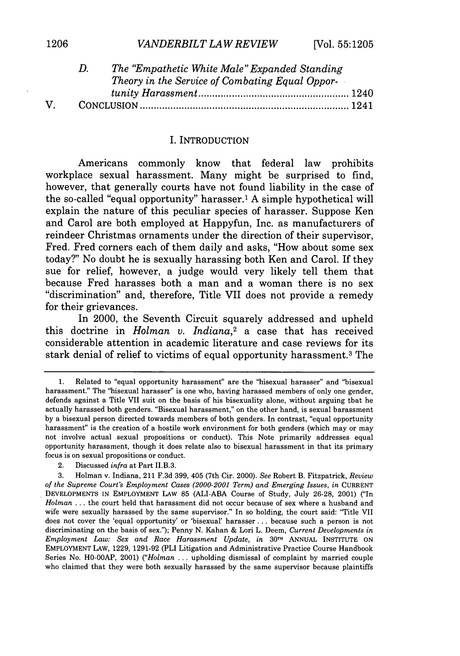|    | The "Empathetic White Male" Expanded Standing   |  |
|----|-------------------------------------------------|--|
|    | Theory in the Service of Combating Equal Oppor- |  |
|    |                                                 |  |
| V. |                                                 |  |

#### I. INTRODUCTION

Americans commonly know that federal law prohibits workplace sexual harassment. Many might be surprised to find, however, that generally courts have not found liability in the case of the so-called "equal opportunity" harasser.' **A** simple hypothetical will explain the nature of this peculiar species of harasser. Suppose Ken and Carol are both employed at Happyfun, Inc. as manufacturers of reindeer Christmas ornaments under the direction of their supervisor, Fred. Fred corners each of them daily and asks, "How about some sex today?" No doubt he is sexually harassing both Ken and Carol. If they sue for relief, however, a judge would very likely tell them that because Fred harasses both a man and a woman there is no sex "discrimination" and, therefore, Title VII does not provide a remedy for their grievances.

In 2000, the Seventh Circuit squarely addressed and upheld this doctrine in *Holman v. Indiana,2* a case that has received considerable attention in academic literature and case reviews for its stark denial of relief to victims of equal opportunity harassment.3 The

<sup>1.</sup> Related to "equal opportunity harassment" are the "bisexual harasser" and "bisexual harassment." The "bisexual harasser" is one who, having harassed members of only one gender, defends against a Title VII suit on the basis of his bisexuality alone, without arguing that he actually harassed both genders. "Bisexual harassment," on the other hand, is sexual harassment by a bisexual person directed towards members of both genders. In contrast, "equal opportunity harassment" is the creation of a hostile work environment for both genders (which may or may not involve actual sexual propositions or conduct). This Note primarily addresses equal opportunity harassment, though it does relate also to bisexual harassment in that its primary focus is on sexual propositions or conduct.

<sup>2.</sup> Discussed *infra* at Part II.B.3.

<sup>3.</sup> Holman v. Indiana, 211 F.3d 399, 405 (7th Cir. 2000). *See* Robert B. Fitzpatrick, *Review of the Supreme Court's Employment Cases (2000-2001 Term) and Emerging Issues, in* CURRENT DEVELOPMENTS IN EMPLOYMENT LAW 85 (ALI-ABA Course of Study, July 26-28, 2001) ("In *Holman* ... the court held that harassment did not occur because of sex where a husband and wife were sexually harassed by the same supervisor." In so holding, the court said: "Title VII does not cover the 'equal opportunity' or 'bisexual' harasser.., because such a person is not discriminating on the basis of sex."); Penny N. Kahan & Lori L. Deem, *Current Developments in Employment Law: Sex and Race Harassment Update, in* 30TH ANNUAL INSTITUTE ON EMPLOYMENT LAW, 1229, 1291-92 (PLI Litigation and Administrative Practice Course Handbook Series No. HO-0OAP, 2001) *("Holman* ... upholding dismissal of complaint by married couple who claimed that they were both sexually harassed by the same supervisor because plaintiffs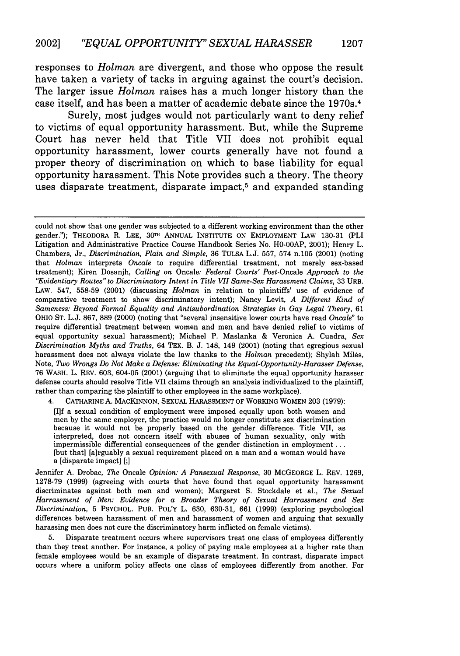responses to *Holman* are divergent, and those who oppose the result have taken a variety of tacks in arguing against the court's decision. The larger issue *Holman* raises has a much longer history than the case itself, and has been a matter of academic debate since the 1970s. <sup>4</sup>

Surely, most judges would not particularly want to deny relief to victims of equal opportunity harassment. But, while the Supreme Court has never held that Title VII does not prohibit equal opportunity harassment, lower courts generally have not found a proper theory of discrimination on which to base liability for equal opportunity harassment. This Note provides such a theory. The theory uses disparate treatment, disparate impact,<sup>5</sup> and expanded standing

could not show that one gender was subjected to a different working environment than the other gender."); THEODORA R. LEE, 30<sup>th</sup> ANNUAL INSTITUTE ON EMPLOYMENT LAW 130-31 (PLI Litigation and Administrative Practice Course Handbook Series No. HO-0OAP, 2001); Henry L. Chambers, Jr., *Discrimination, Plain and Simple,* 36 TULSA L.J. 557, 574 n.105 (2001) (noting that *Holman* interprets *Oncale* to require differential treatment, not merely sex-based treatment); Kiren Dosanjh, *Calling* on Oncale: *Federal Courts' Post-Oncale Approach to the "Evidentiary Routes" to Discriminatory Intent in Title VII Same-Sex Harassment Claims,* 33 URB. LAW. 547, 558-59 (2001) (discussing *Holman* in relation to plaintiffs' use of evidence of comparative treatment to show discriminatory intent); Nancy Levit, *A Different Kind of Sameness: Beyond Formal Equality and Antisubordination Strategies in Gay Legal Theory,* 61 OHIO ST. L.J. 867, 889 (2000) (noting that "several insensitive lower courts have read *Oncale"* to require differential treatment between women and men and have denied relief to victims of equal opportunity sexual harassment); Michael P. Maslanka & Veronica A. Cuadra, *Sex Discrimination Myths and Truths,* 64 TEX. B. J. 148, 149 (2001) (noting that egregious sexual harassment does not always violate the law thanks to the *Holman* precedent); Shylah Miles, Note, *Two Wrongs Do Not Make a Defense: Eliminating the Equal-Opportunity-Harasser Defense,* 76 WASH. L. REV. 603, 604-05 (2001) (arguing that to eliminate the equal opportunity harasser defense courts should resolve Title VII claims through an analysis individualized to the plaintiff, rather than comparing the plaintiff to other employees in the same workplace).

4. CATHARINE A. MACKINNON, SEXUAL HARASSMENT OF WORKING WOMEN 203 (1979):

[I]f a sexual condition of employment were imposed equally upon both women and men by the same employer, the practice would no longer constitute sex discrimination because it would not be properly based on the gender difference. Title VII, as interpreted, does not concern itself with abuses of human sexuality, only with impermissible differential consequences of the gender distinction in employment... [but that] [a]rguably a sexual requirement placed on a man and a woman would have a [disparate impact] [;]

Jennifer A. Drobac, *The* Oncale *Opinion: A Pansexual Response,* 30 MCGEORGE L. REV. 1269, 1278-79 (1999) (agreeing with courts that have found that equal opportunity harassment discriminates against both men and women); Margaret S. Stockdale et al., *The Sexual Harrassment of Men: Evidence for a Broader Theory of Sexual Harrassment and Sex Discrimination,* 5 PSYCHOL. PUB. POL'Y L. 630, 630-31, 661 (1999) (exploring psychological differences between harassment of men and harassment of women and arguing that sexually harassing men does not cure the discriminatory harm inflicted on female victims).

5. Disparate treatment occurs where supervisors treat one class of employees differently than they treat another. For instance, a policy of paying male employees at a higher rate than female employees would be an example of disparate treatment. In contrast, disparate impact occurs where a uniform policy affects one class of employees differently from another. For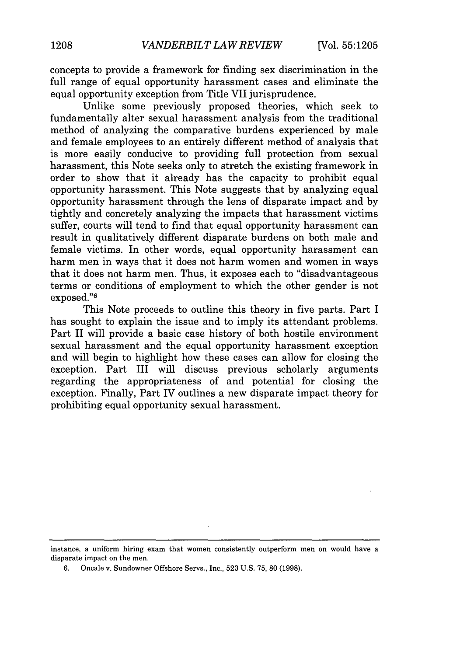concepts to provide a framework for finding sex discrimination in the full range of equal opportunity harassment cases and eliminate the equal opportunity exception from Title VII jurisprudence.

Unlike some previously proposed theories, which seek to fundamentally alter sexual harassment analysis from the traditional method of analyzing the comparative burdens experienced by male and female employees to an entirely different method of analysis that is more easily conducive to providing full protection from sexual harassment, this Note seeks only to stretch the existing framework in order to show that it already has the capacity to prohibit equal opportunity harassment. This Note suggests that by analyzing equal opportunity harassment through the lens of disparate impact and by tightly and concretely analyzing the impacts that harassment victims suffer, courts will tend to find that equal opportunity harassment can result in qualitatively different disparate burdens on both male and female victims. In other words, equal opportunity harassment can harm men in ways that it does not harm women and women in ways that it does not harm men. Thus, it exposes each to "disadvantageous terms or conditions of employment to which the other gender is not exposed."<sup>6</sup>

This Note proceeds to outline this theory in five parts. Part I has sought to explain the issue and to imply its attendant problems. Part II will provide a basic case history of both hostile environment sexual harassment and the equal opportunity harassment exception and will begin to highlight how these cases can allow for closing the exception. Part III will discuss previous scholarly arguments regarding the appropriateness of and potential for closing the exception. Finally, Part IV outlines a new disparate impact theory for prohibiting equal opportunity sexual harassment.

instance, a uniform hiring exam that women consistently outperform men on would have a disparate impact on the men.

6. Oncale v. Sundowner Offshore Servs., Inc., **523** U.S. 75, 80 (1998).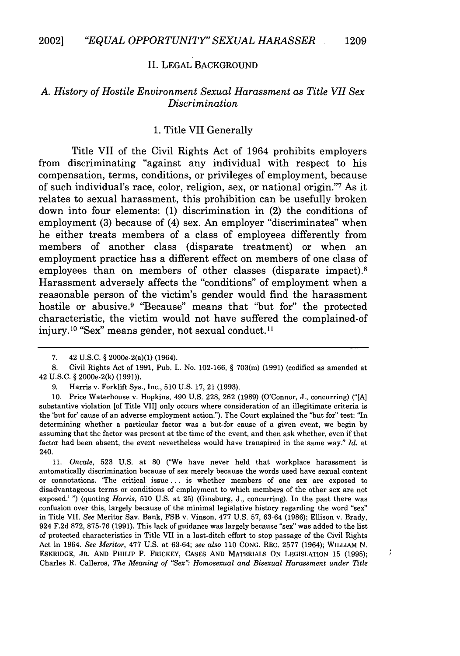#### II. LEGAL BACKGROUND

#### *A. History of Hostile Environment Sexual Harassment as Title VII Sex Discrimination*

#### 1. Title VII Generally

Title VII of the Civil Rights Act of 1964 prohibits employers from discriminating "against any individual with respect to his compensation, terms, conditions, or privileges of employment, because of such individual's race, color, religion, sex, or national origin."7 As it relates to sexual harassment, this prohibition can be usefully broken down into four elements: (1) discrimination in (2) the conditions of employment (3) because of (4) sex. An employer "discriminates" when he either treats members of a class of employees differently from members of another class (disparate treatment) or when an employment practice has a different effect on members of one class of employees than on members of other classes (disparate impact).<sup>8</sup> Harassment adversely affects the "conditions" of employment when a reasonable person of the victim's gender would find the harassment hostile or abusive.9 "Because" means that "but for" the protected characteristic, the victim would not have suffered the complained-of injury.<sup>10</sup> "Sex" means gender, not sexual conduct.<sup>11</sup>

9. Harris v. Forklift Sys., Inc., 510 U.S. 17, 21 (1993).

10. Price Waterhouse v. Hopkins, 490 U.S. 228, 262 (1989) (O'Connor, J., concurring) ("[A] substantive violation [of Title VII] only occurs where consideration of an illegitimate criteria is the 'but for' cause of an adverse employment action."). The Court explained the "but for" test: "In determining whether a particular factor was a but-for cause of a given event, we begin by assuming that the factor was present at the time of the event, and then ask whether, even if that factor had been absent, the event nevertheless would have transpired in the same way." *Id.* at 240.

11. *Oncale,* 523 U.S. at 80 ("We have never held that workplace harassment is automatically discrimination because of sex merely because the words used have sexual content or connotations. 'The critical issue **...** is whether members of one sex are exposed to disadvantageous terms or conditions of employment to which members of the other sex are not exposed.' ") (quoting *Harris,* 510 U.S. at 25) (Ginsburg, J., concurring). In the past there was confusion over this, largely because of the minimal legislative history regarding the word "sex" in Title VII. *See* Meritor Sav. Bank, FSB v. Vinson, 477 U.S. 57, 63-64 (1986); Ellison v. Brady, 924 F.2d 872, 875-76 (1991). This lack of guidance was largely because "sex" was added to the list of protected characteristics in Title VII in a last-ditch effort to stop passage of the Civil Rights Act in 1964. *See Meritor,* 477 U.S. at 63-64; *see also* 110 CONG. REC. 2577 (1964); WILLIAM N. ESKRIDGE, JR. AND PHILIP P. FRICKEY, CASES AND MATERIALS ON LEGISLATION 15 (1995); Charles R. Calleros, *The Meaning of "Sex" Homosexual and Bisexual Harassment under Title*

 $\mathcal{I}$ 

<sup>7. 42</sup> U.S.C. § 200Oe-2(a)(1) (1964).

<sup>8.</sup> Civil Rights Act of 1991, Pub. L. No. 102-166, § 703(m) (1991) (codified as amended at 42 U.S.C. § 20O0e-2(k) (1991)).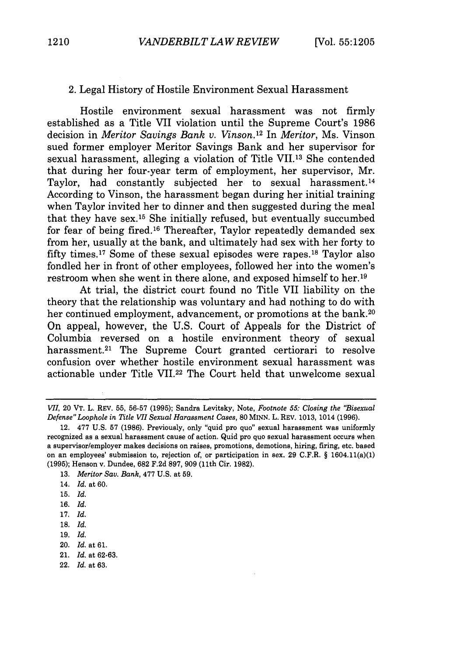#### 2. Legal History of Hostile Environment Sexual Harassment

Hostile environment sexual harassment was not firmly established as a Title VII violation until the Supreme Court's 1986 decision in *Meritor Savings Bank v. Vinson.12* In *Meritor,* Ms. Vinson sued former employer Meritor Savings Bank and her supervisor for sexual harassment, alleging a violation of Title VII. 13 She contended that during her four-year term of employment, her supervisor, Mr. Taylor, had constantly subjected her to sexual harassment.14 According to Vinson, the harassment began during her initial training when Taylor invited her to dinner and then suggested during the meal that they have sex. 15 She initially refused, but eventually succumbed for fear of being fired. 16 Thereafter, Taylor repeatedly demanded sex from her, usually at the bank, and ultimately had sex with her forty to fifty times. 17 Some of these sexual episodes were rapes.'8 Taylor also fondled her in front of other employees, followed her into the women's restroom when she went in there alone, and exposed himself to her.19

At trial, the district court found no Title VII liability on the theory that the relationship was voluntary and had nothing to do with her continued employment, advancement, or promotions at the bank.<sup>20</sup> On appeal, however, the U.S. Court of Appeals for the District of Columbia reversed on a hostile environment theory of sexual harassment.<sup>21</sup> The Supreme Court granted certiorari to resolve confusion over whether hostile environment sexual harassment was actionable under Title VII.<sup>22</sup> The Court held that unwelcome sexual

- 17. *Id.*
- 18. *Id.*
- 19. *Id.*
- 20. *Id.* at 61.
- 21. *Id.* at 62-63.
- 22. *Id.* at 63.

*VII,* 20 VT. L. REV. 55, 56-57 (1995); Sandra Levitsky, Note, *Footnote 55: Closing the "Bisexual Defense" Loophole in Title VII Sexual Harassment Cases, 80* MINN. L. REV. 1013, 1014 (1996).

<sup>12. 477</sup> U.S. 57 (1986). Previously, only "quid pro quo" sexual harassment was uniformly recognized as a sexual harassment cause of action. Quid pro quo sexual harassment occurs when a supervisor/employer makes decisions on raises, promotions, demotions, hiring, firing, etc. based on an employees' submission to, rejection of, or participation in sex. 29 C.F.R. § 1604.11(a)(1) (1995); Henson v. Dundee, 682 F.2d 897, 909 (11th Cir. 1982).

<sup>13.</sup> *Meritor Say. Bank,* 477 U.S. at 59.

<sup>14.</sup> *Id.* at 60.

<sup>15.</sup> *Id.*

<sup>16.</sup> *Id.*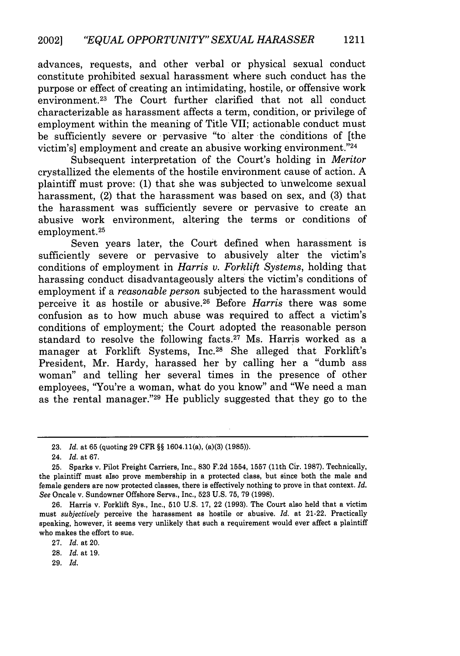advances, requests, and other verbal or physical sexual conduct constitute prohibited sexual harassment where such conduct has the purpose or effect of creating an intimidating, hostile, or offensive work environment.<sup>23</sup> The Court further clarified that not all conduct characterizable as harassment affects a term, condition, or privilege of employment within the meaning of Title VII; actionable conduct must be sufficiently severe or pervasive "to alter the conditions of [the victim's] employment and create an abusive working environment."<sup>24</sup>

Subsequent interpretation of the Court's holding in *Meritor* crystallized the elements of the hostile environment cause of action. A plaintiff must prove: (1) that she was subjected to unwelcome sexual harassment, (2) that the harassment was based on sex, and (3) that the harassment was sufficiently severe or pervasive to create an abusive work environment, altering the terms or conditions of employment.<sup>25</sup>

Seven years later, the Court defined when harassment is sufficiently severe or pervasive to abusively alter the victim's conditions of employment in *Harris v. Forklift Systems,* holding that harassing conduct disadvantageously alters the victim's conditions of employment if a *reasonable person* subjected to the harassment would perceive it as hostile or abusive.26 Before *Harris* there was some confusion as to how much abuse was required to affect a victim's conditions of employment; the Court adopted the reasonable person standard to resolve the following facts.<sup>27</sup> Ms. Harris worked as a manager at Forklift Systems, Inc.<sup>28</sup> She alleged that Forklift's President, Mr. Hardy, harassed her by calling her a "dumb ass woman" and telling her several times in the presence of other employees, 'You're a woman, what do you know" and "We need a man as the rental manager."<sup>29</sup> He publicly suggested that they go to the

<sup>23.</sup> *Id.* at 65 (quoting 29 CFR §§ 1604.11(a), (a)(3) (1985)).

<sup>24.</sup> *Id.* at 67.

<sup>25.</sup> Sparks v. Pilot Freight Carriers, Inc., 830 F.2d 1554, 1557 (11th Cir. 1987). Technically, the plaintiff must also prove membership in a protected class, but since both the male and female genders are now protected classes, there is effectively nothing to prove in that context. *Id. See* Oncale v. Sundowner Offshore Servs., Inc., **523 U.S. 75, 79 (1998).**

<sup>26.</sup> Harris v. Forklift Sys., Inc., 510 U.S. 17, 22 (1993). The Court also held that a victim must *subjectively* perceive the harassment as hostile or abusive. *Id.* at 21-22. Practically speaking, however, it seems very unlikely that such a requirement would ever affect a plaintiff who makes the effort to sue.

<sup>27.</sup> *Id.* at 20.

<sup>28.</sup> *Id.* at **19.**

<sup>29.</sup> *Id.*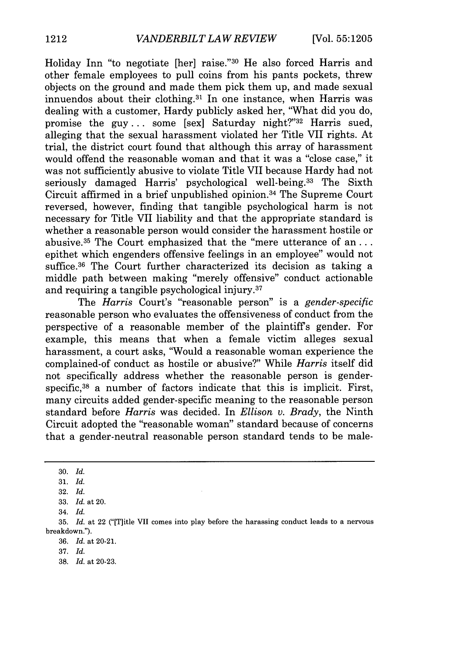Holiday Inn "to negotiate [her] raise."30 He also forced Harris and other female employees to pull coins from his pants pockets, threw objects on the ground and made them pick them up, and made sexual innuendos about their clothing. $31$  In one instance, when Harris was dealing with a customer, Hardy publicly asked her, "What did you do, promise the guy ... some [sex] Saturday night?"<sup>32</sup> Harris sued, alleging that the sexual harassment violated her Title VII rights. At trial, the district court found that although this array of harassment would offend the reasonable woman and that it was a "close case," it was not sufficiently abusive to violate Title VII because Hardy had not seriously damaged Harris' psychological well-being.<sup>33</sup> The Sixth Circuit affirmed in a brief unpublished opinion. 34 The Supreme Court reversed, however, finding that tangible psychological harm is not necessary for Title VII liability and that the appropriate standard is whether a reasonable person would consider the harassment hostile or abusive.<sup>35</sup> The Court emphasized that the "mere utterance of an... epithet which engenders offensive feelings in an employee" would not suffice.<sup>36</sup> The Court further characterized its decision as taking a middle path between making "merely offensive" conduct actionable and requiring a tangible psychological injury.37

The *Harris* Court's "reasonable person" is a *gender-specific* reasonable person who evaluates the offensiveness of conduct from the perspective of a reasonable member of the plaintiffs gender. For example, this means that when a female victim alleges sexual harassment, a court asks, "Would a reasonable woman experience the complained-of conduct as hostile or abusive?" While *Harris* itself did not specifically address whether the reasonable person is genderspecific,<sup>38</sup> a number of factors indicate that this is implicit. First, many circuits added gender-specific meaning to the reasonable person standard before *Harris* was decided. In *Ellison v. Brady,* the Ninth Circuit adopted the "reasonable woman" standard because of concerns that a gender-neutral reasonable person standard tends to be male-

**<sup>30.</sup>** *Id.*

**<sup>31.</sup>** *Id.*

**<sup>32.</sup>** *Id.*

**<sup>33.</sup>** *Id.* at 20.

<sup>34.</sup> *Id.*

**<sup>35.</sup>** *Id.* at 22 ("[T]itle VII comes into play before the harassing conduct leads to a nervous breakdown.").

**<sup>36.</sup>** *Id.* at 20-21.

**<sup>37.</sup>** *Id.*

**<sup>38.</sup>** *Id.* at **20-23.**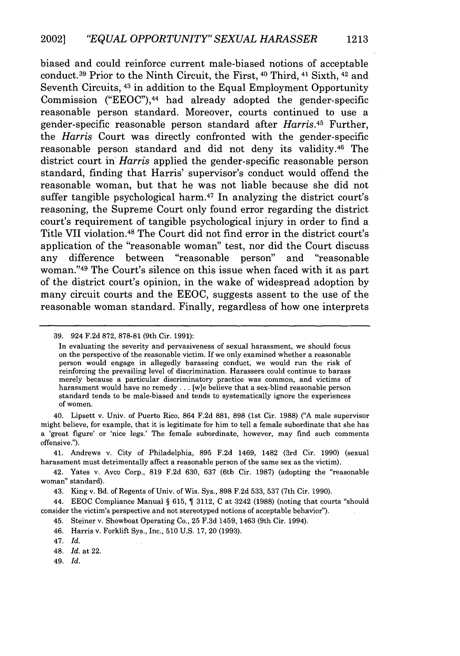biased and could reinforce current male-biased notions of acceptable conduct. 39 Prior to the Ninth Circuit, the First, 40 Third, 41 Sixth, 42 and Seventh Circuits, 43 in addition to the Equal Employment Opportunity Commission ("EEOC"), 44 had already adopted the gender-specific reasonable person standard. Moreover, courts continued to use a gender-specific reasonable person standard after *Harris.45* Further, the *Harris* Court was directly confronted with the gender-specific reasonable person standard and did not deny its validity.<sup>46</sup> The district court in *Harris* applied the gender-specific reasonable person standard, finding that Harris' supervisor's conduct would offend the reasonable woman, but that he was not liable because she did not suffer tangible psychological harm. 47 In analyzing the district court's reasoning, the Supreme Court only found error regarding the district court's requirement of tangible psychological injury in order to find a Title VII violation. 48 The Court did not find error in the district court's application of the "reasonable woman" test, nor did the Court discuss any difference between "reasonable person" and "reasonable woman."49 The Court's silence on this issue when faced with it as part of the district court's opinion, in the wake of widespread adoption by many circuit courts and the EEOC, suggests assent to the use of the reasonable woman standard. Finally, regardless of how one interprets

40. Lipsett v. Univ. of Puerto Rico, 864 F.2d 881, 898 (1st Cir. 1988) ("A male supervisor might believe, for example, that it is legitimate for him to tell a female subordinate that she has a 'great figure' or 'nice legs.' The female subordinate, however, may find such comments offensive.").

41. Andrews v. City of Philadelphia, 895 F.2d 1469, 1482 (3rd Cir. 1990) (sexual harassment must detrimentally affect a reasonable person of the same sex as the victim).

42. Yates v. Avco Corp., 819 F.2d 630, 637 (6th Cir. 1987) (adopting the "reasonable woman" standard).

43. King v. Bd. of Regents of Univ. of Wis. Sys., 898 F.2d 533, 537 (7th Cir. 1990).

44. EEOC Compliance Manual § 615, ¶ 3112, C at 3242 (1988) (noting that courts "should consider the victim's perspective and not stereotyped notions of acceptable behavior").

45. Steiner v. Showboat Operating Co., 25 F.3d 1459, 1463 (9th Cir. 1994).

46. Harris v. Forklift Sys., Inc., 510 U.S. 17, 20 (1993).

47. *Id.*

48. *Id.* at 22.

49. *Id.*

<sup>39. 924</sup> F.2d 872, 878-81 (9th Cir. 1991):

In evaluating the severity and pervasiveness of sexual harassment, we should focus on the perspective of the reasonable victim. If we only examined whether a reasonable person would engage in allegedly harassing conduct, we would run the risk of reinforcing the prevailing level of discrimination. Harassers could continue to harass merely because a particular discriminatory practice was common, and victims of harassment would have no remedy ... [wie believe that a sex-blind reasonable person standard tends to be male-biased and tends to systematically ignore the experiences of women.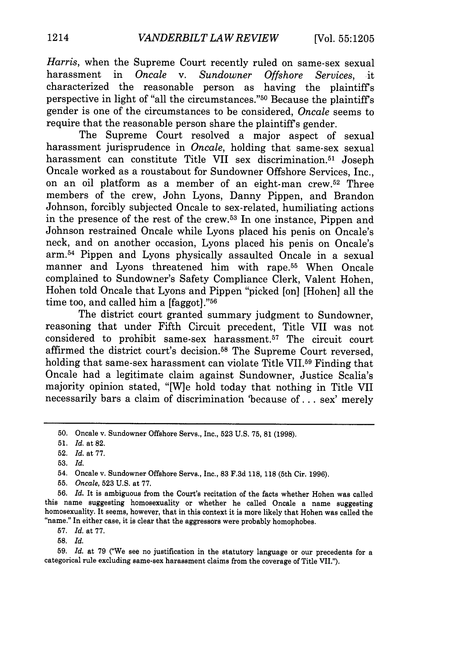*Harris,* when the Supreme Court recently ruled on same-sex sexual harassment in *Oncale* v. *Sundowner Offshore Services,* it characterized the reasonable person as having the plaintiffs perspective in light of "all the circumstances."<sup>50</sup> Because the plaintiff's gender is one of the circumstances to be considered, *Oncale* seems to require that the reasonable person share the plaintiff's gender.

The Supreme Court resolved a major aspect of sexual harassment jurisprudence in *Oncale,* holding that same-sex sexual harassment can constitute Title VII sex discrimination.<sup>51</sup> Joseph Oncale worked as a roustabout for Sundowner Offshore Services, Inc., on an oil platform as a member of an eight-man crew. 52 Three members of the crew, John Lyons, Danny Pippen, and Brandon Johnson, forcibly subjected Oncale to sex-related, humiliating actions in the presence of the rest of the crew. 53 In one instance, Pippen and Johnson restrained Oncale while Lyons placed his penis on Oncale's neck, and on another occasion, Lyons placed his penis on Oncale's arm.54 Pippen and Lyons physically assaulted Oncale in a sexual manner and Lyons threatened him with rape.<sup>55</sup> When Oncale complained to Sundowner's Safety Compliance Clerk, Valent Hohen, Hohen told Oncale that Lyons and Pippen "picked [on] [Hohen] all the time too, and called him a  $[$ faggot $]$ ." $56$ 

The district court granted summary judgment to Sundowner, reasoning that under Fifth Circuit precedent, Title VII was not considered to prohibit same-sex harassment.<sup>57</sup> The circuit court affirmed the district court's decision. 58 The Supreme Court reversed, holding that same-sex harassment can violate Title VII.<sup>59</sup> Finding that Oncale had a legitimate claim against Sundowner, Justice Scalia's majority opinion stated, "[W]e hold today that nothing in Title VII necessarily bars a claim of discrimination 'because of **...** sex' merely

57. *Id.* at 77.

58. *Id.*

59. *Id.* at 79 ("We see no justification in the statutory language or our precedents for a categorical rule excluding same-sex harassment claims **from the** coverage of **Title** VIL.").

<sup>50.</sup> Oncale v. Sundowner Offshore Servs., Inc., 523 U.S. 75, 81 (1998).

<sup>51.</sup> *Id.* at 82.

<sup>52.</sup> Id. at 77.

<sup>53.</sup> *Id.*

<sup>54.</sup> Oncale v. Sundowner Offshore Servs., Inc., 83 F.3d 118, 118 (5th Cir. 1996).

<sup>55.</sup> *Oncale,* 523 U.S. at 77.

<sup>56.</sup> *Id.* It is ambiguous from the Court's recitation of the facts whether Hohen was called this name suggesting homosexuality or whether he called Oncale a name suggesting homosexuality. It seems, however, that in this context it is more likely that Hohen was called the "name." In either case, it is clear that the aggressors were probably homophobes.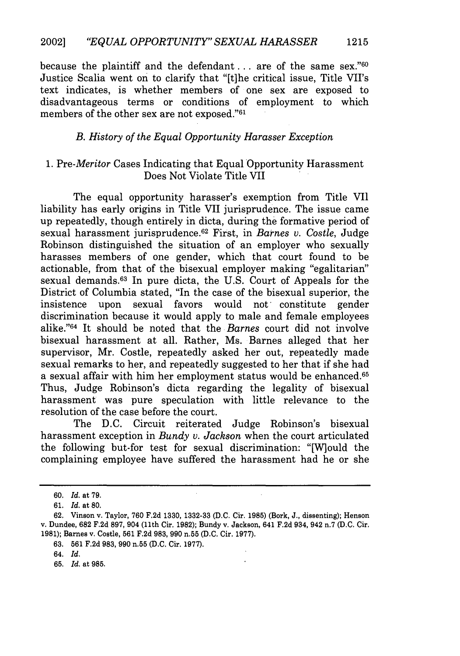because the plaintiff and the defendant **...** are of the same sex."60 Justice Scalia went on to clarify that "[t]he critical issue, Title VII's text indicates, is whether members of one sex are exposed to disadvantageous terms or conditions of employment to which members of the other sex are not exposed."<sup>61</sup>

#### *B. History of the Equal Opportunity Harasser Exception*

## *1. Pre-Meritor* Cases Indicating that Equal Opportunity Harassment Does Not Violate Title VII

The equal opportunity harasser's exemption from Title VII liability has early origins in Title VII jurisprudence. The issue came up repeatedly, though entirely in dicta, during the formative period of sexual harassment jurisprudence. 62 First, in *Barnes v. Costle,* Judge Robinson distinguished the situation of an employer who sexually harasses members of one gender, which that court found to be actionable, from that of the bisexual employer making "egalitarian" sexual demands.<sup>63</sup> In pure dicta, the U.S. Court of Appeals for the District of Columbia stated, "In the case of the bisexual superior, the insistence upon sexual favors would not constitute gender discrimination because it would apply to male and female employees alike. '64 It should be noted that the *Barnes* court did not involve bisexual harassment at all. Rather, Ms. Barnes alleged that her supervisor, Mr. Costle, repeatedly asked her out, repeatedly made sexual remarks to her, and repeatedly suggested to her that if she had a sexual affair with him her employment status would be enhanced.<sup>65</sup> Thus, Judge Robinson's dicta regarding the legality of bisexual harassment was pure speculation with little relevance to the resolution of the case before the court.

The D.C. Circuit reiterated Judge Robinson's bisexual harassment exception in *Bundy v. Jackson* when the court articulated the following but-for test for sexual discrimination: "[W]ould the complaining employee have suffered the harassment had he or she

63. 561 F.2d 983, 990 n.55 (D.C. Cir. 1977).

<sup>60.</sup> *Id.* at 79.

<sup>61.</sup> *Id.* at **80.**

<sup>62.</sup> Vinson v. Taylor, 760 F.2d 1330, 1332-33 (D.C. Cir. 1985) (Bork, J., dissenting); Henson v. Dundee, 682 F.2d 897, 904 (11th Cir. 1982); Bundy v. Jackson, 641 F.2d 934, 942 n.7 (D.C. Cir. 1981); Barnes v, Costle, 561 F.2d 983, 990 n.55 (D.C. Cir. 1977).

<sup>64.</sup> Id.

<sup>65.</sup> *Id.* at 985.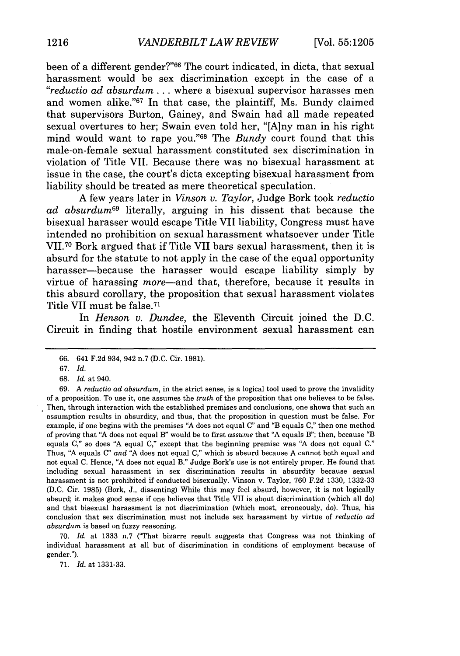been of a different gender?"66 The court indicated, in dicta, that sexual harassment would be sex discrimination except in the case of a *"reductio ad absurdum ...* where a bisexual supervisor harasses men and women alike."<sup>67</sup> In that case, the plaintiff, Ms. Bundy claimed that supervisors Burton, Gainey, and Swain had all made repeated sexual overtures to her; Swain even told her, "[A]ny man in his right mind would want to rape you."<sup>68</sup> The *Bundy* court found that this male-on-female sexual harassment constituted sex discrimination in violation of Title VII. Because there was no bisexual harassment at issue in the case, the court's dicta excepting bisexual harassment from liability should be treated as mere theoretical speculation.

A few years later in *Vinson v. Taylor,* Judge Bork took *reductio ad absurdum69* literally, arguing in his dissent that because the bisexual harasser would escape Title VII liability, Congress must have intended no prohibition on sexual harassment whatsoever under Title VII.70 Bork argued that if Title VII bars sexual harassment, then it is absurd for the statute to not apply in the case of the equal opportunity harasser-because the harasser would escape liability simply by virtue of harassing *more*—and that, therefore, because it results in this absurd corollary, the proposition that sexual harassment violates Title VII must be false. <sup>71</sup>

In *Henson v. Dundee,* the Eleventh Circuit joined the D.C. Circuit in finding that hostile environment sexual harassment can

70. *Id.* at 1333 n.7 ("That bizarre result suggests that Congress was not thinking of individual harassment at all but of discrimination in conditions of employment because of gender.").

71. *Id.* at 1331-33.

<sup>66. 641</sup> F.2d 934, 942 n.7 (D.C. Cir. 1981).

<sup>67.</sup> *Id.*

<sup>68.</sup> *Id.* at 940.

*<sup>69.</sup>* A *reductio ad absurdum,* in the strict sense, is a logical tool used to prove the invalidity of a proposition. To use it, one assumes the *truth* of the proposition that one believes to be false. Then, through interaction with the established premises and conclusions, one shows that such an assumption results in absurdity, and thus, that the proposition in question must be false. For example, if one begins with the premises "A does not equal C" and "B equals C," then one method of proving that "A does not equal B" would be to first *assume* that "A equals B"; then, because "B equals C," so does "A equal C," except that the beginning premise was "A does not equal C." Thus, "A equals C" *and* "A does not equal C," which is absurd because A cannot both equal and not equal C. Hence, "A does not equal B." Judge Bork's use is not entirely proper. He found that including sexual harassment in sex discrimination results in absurdity because sexual harassment is not prohibited if conducted bisexually. Vinson v. Taylor, 760 F.2d 1330, 1332-33 (D.C. Cir. 1985) (Bork, J., dissenting) While this may feel absurd, however, it is not logically absurd; it makes good sense if one believes that Title VII is about discrimination (which all do) and that bisexual harassment is not discrimination (which most, erroneously, do). Thus, his conclusion that sex discrimination must not include sex harassment by virtue of *reductio ad absurdum* is based on fuzzy reasoning.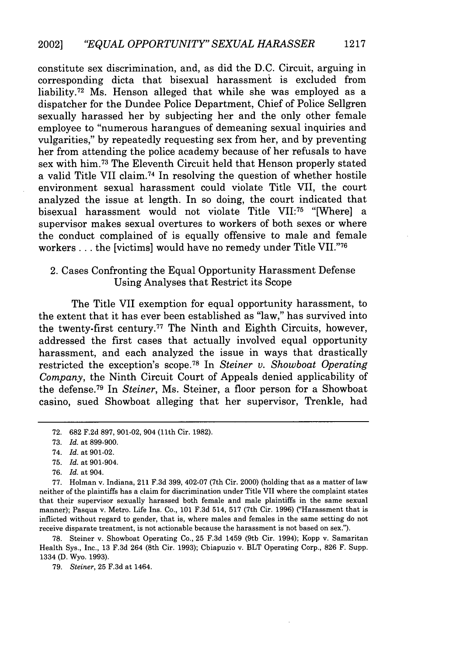constitute sex discrimination, and, as did the D.C. Circuit, arguing in corresponding dicta that bisexual harassment is excluded from liability.72 Ms. Henson alleged that while she was employed as a dispatcher for the Dundee Police Department, Chief of Police Sellgren sexually harassed her by subjecting her and the only other female employee to "numerous harangues of demeaning sexual inquiries and vulgarities," by repeatedly requesting sex from her, and by preventing her from attending the police academy because of her refusals to have sex with him.73 The Eleventh Circuit held that Henson properly stated a valid Title VII claim. 74 In resolving the question of whether hostile environment sexual harassment could violate Title VII, the court analyzed the issue at length. In so doing, the court indicated that bisexual harassment would not violate Title VII:75 "[Where] a supervisor makes sexual overtures to workers of both sexes or where the conduct complained of is equally offensive to male and female workers . . . the [victims] would have no remedy under Title VII."<sup>76</sup>

## 2. Cases Confronting the Equal Opportunity Harassment Defense Using Analyses that Restrict its Scope

The Title VII exemption for equal opportunity harassment, to the extent that it has ever been established as "law," has survived into the twenty-first century. 77 The Ninth and Eighth Circuits, however, addressed the first cases that actually involved equal opportunity harassment, and each analyzed the issue in ways that drastically restricted the exception's scope. 78 In *Steiner v. Showboat Operating Company,* the Ninth Circuit Court of Appeals denied applicability of the defense. 79 In *Steiner,* Ms. Steiner, a floor person for a Showboat casino, sued Showboat alleging that her supervisor, Trenkle, had

- 74. *Id.* at 901-02.
- 75. *Id.* at 901-904.
- 76. *Id.* at 904.

77. Holman v. Indiana, 211 F.3d 399, 402-07 (7th Cir. 2000) (holding that as a matter of law neither of the plaintiffs has a claim for discrimination under Title VII where the complaint states that their supervisor sexually harassed both female and male plaintiffs in the same sexual manner); Pasqua v. Metro. Life Ins. Co., 101 **F.3d** 514, 517 (7th Cir. 1996) ("Harassment that is inflicted without regard to gender, that is, where males and females in the same setting do not receive disparate treatment, is not actionable because the harassment is not based on sex.").

78. Steiner v. Showboat Operating Co., 25 F.3d 1459 (9th Cir. 1994); Kopp v. Samaritan Health Sys., Inc., 13 F.3d 264 (8th Cir. 1993); Chiapuzio v. BLT Operating Corp., 826 F. Supp. 1334 (D. Wyo. 1993).

79. *Steiner,* 25 F.3d at 1464.

<sup>72. 682</sup> F.2d 897, 901-02, 904 (lth Cir. 1982).

<sup>73.</sup> *Id.* at 899-900.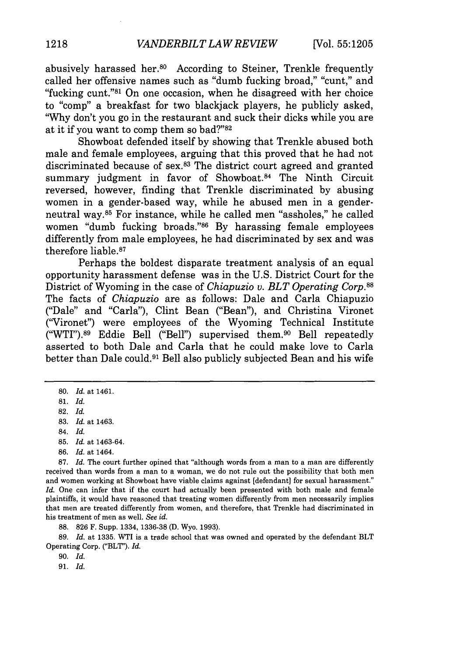abusively harassed her.80 According to Steiner, Trenkle frequently called her offensive names such as "dumb fucking broad," "cunt," and "fucking cunt."<sup>81</sup> On one occasion, when he disagreed with her choice to "comp" a breakfast for two blackjack players, he publicly asked, "Why don't you go in the restaurant and suck their dicks while you are at it if you want to comp them so bad?"<sup>82</sup>

Showboat defended itself by showing that Trenkle abused both male and female employees, arguing that this proved that he had not discriminated because of sex.<sup>83</sup> The district court agreed and granted summary judgment in favor of Showboat.<sup>84</sup> The Ninth Circuit reversed, however, finding that Trenkle discriminated by abusing women in a gender-based way, while he abused men in a genderneutral way.<sup>85</sup> For instance, while he called men "assholes," he called women "dumb fucking broads."<sup>86</sup> By harassing female employees differently from male employees, he had discriminated by sex and was therefore liable.<sup>87</sup>

Perhaps the boldest disparate treatment analysis of an equal opportunity harassment defense was in the U.S. District Court for the District of Wyoming in the case of *Chiapuzio v. BLT Operating Corp.88* The facts of *Chiapuzio* are as follows: Dale and Carla Chiapuzio ("Dale" and "Carla"), Clint Bean ("Bean"), and Christina Vironet ("Vironet") were employees of the Wyoming Technical Institute  $($ "WTI").<sup>89</sup> Eddie Bell ("Bell") supervised them.<sup>90</sup> Bell repeatedly asserted to both Dale and Carla that he could make love to Carla better than Dale could. 91 Bell also publicly subjected Bean and his wife

- 85. *Id.* at 1463-64.
- 86. *Id.* at 1464.

87. *Id.* The court further opined that "although words from a man to a man are differently received than words from a man to a woman, we do not rule out the possibility that both men and women working at Showboat have viable claims against [defendant] for sexual harassment." *Id.* One can infer that if the court had actually been presented with both male and female plaintiffs, it would have reasoned that treating women differently from men necessarily implies that men are treated differently from women, and therefore, that Trenkle had discriminated in his treatment of men as well. *See id.*

88. 826 F. Supp. 1334, 1336-38 (D. Wyo. 1993).

89. *Id.* at 1335. WTI is a trade school that was owned and operated by the defendant BLT Operating Corp. ("BLT"). *Id.*

90. *Id.*

91. *Id.*

<sup>80.</sup> *Id.* at 1461.

<sup>81.</sup> *Id.*

<sup>82.</sup> *Id.*

<sup>83.</sup> *Id.* at 1463.

<sup>84.</sup> *Id.*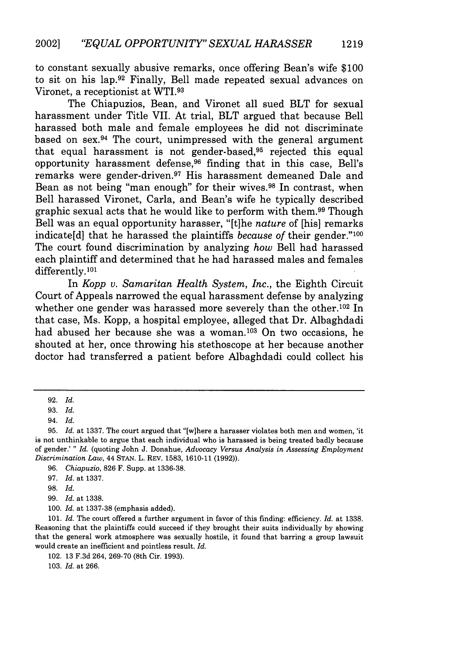to constant sexually abusive remarks, once offering Bean's wife \$100 to sit on his lap.92 Finally, Bell made repeated sexual advances on Vironet, a receptionist at WTI. <sup>93</sup>

The Chiapuzios, Bean, and Vironet all sued BLT for sexual harassment under Title VII. At trial, BLT argued that because Bell harassed both male and female employees he did not discriminate based on sex.94 The court, unimpressed with the general argument that equal harassment is not gender-based, $95$  rejected this equal opportunity harassment defense, 96 finding that in this case, Bell's remarks were gender-driven.<sup>97</sup> His harassment demeaned Dale and Bean as not being "man enough" for their wives.<sup>98</sup> In contrast, when Bell harassed Vironet, Carla, and Bean's wife he typically described graphic sexual acts that he would like to perform with them. 99 Though Bell was an equal opportunity harasser, "[t]he *nature* of [his] remarks indicate[d] that he harassed the plaintiffs *because of* their gender."100 The court found discrimination by analyzing *how* Bell had harassed each plaintiff and determined that he had harassed males and females differently.101

In *Kopp v. Samaritan Health System, Inc.,* the Eighth Circuit Court of Appeals narrowed the equal harassment defense by analyzing whether one gender was harassed more severely than the other.<sup>102</sup> In that case, Ms. Kopp, a hospital employee, alleged that Dr. Albaghdadi had abused her because she was a woman.<sup>103</sup> On two occasions, he shouted at her, once throwing his stethoscope at her because another doctor had transferred a patient before Albaghdadi could collect his

96. *Chiapuzio,* 826 F. Supp. at 1336-38.

97. *Id.* at 1337.

98. *Id.*

99. *Id.* at 1338.

100. *Id.* at 1337-38 (emphasis added).

101. *Id.* The court offered a further argument in favor of this finding: efficiency. *Id.* at 1338. Reasoning that the plaintiffs could succeed if they brought their suits individually by showing that the general work atmosphere was sexually hostile, it found that barring a group lawsuit would create an inefficient and pointless result. *Id.*

102. 13 F.3d 264, 269-70 (8th Cir. 1993).

103. *Id.* at 266.

<sup>92.</sup> *Id.*

<sup>93.</sup> *Id.*

<sup>94.</sup> *Id.*

<sup>95.</sup> *Id.* at 1337. The court argued that "[w]here a harasser violates both men and women, 'it is not unthinkable to argue that each individual who is harassed is being treated badly because of gender.' " *Id.* (quoting John J. Donahue, *Advocacy Versus Analysis in Assessing Employment Discrimination Law,* 44 STAN. L. REV. 1583, 1610-11 (1992)).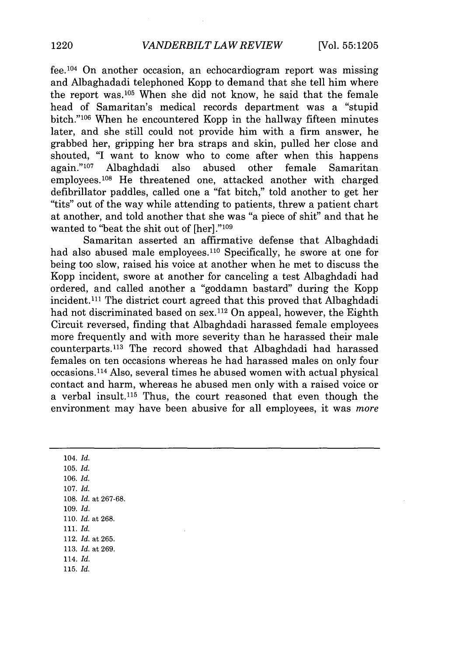fee. 104 On another occasion, an echocardiogram report was missing and Albaghadadi telephoned Kopp to demand that she tell him where the report was. 105 When she did not know, he said that the female head of Samaritan's medical records department was a "stupid bitch."<sup>106</sup> When he encountered Kopp in the hallway fifteen minutes later, and she still could not provide him with a firm answer, he grabbed her, gripping her bra straps and skin, pulled her close and shouted, "I want to know who to come after when this happens again."<sup>107</sup> Albaghdadi also abused other female Samaritan employees.<sup>108</sup> He threatened one, attacked another with charged defibrillator paddles, called one a "fat bitch," told another to get her "tits" out of the way while attending to patients, threw a patient chart at another, and told another that she was "a piece of shit" and that he wanted to "beat the shit out of [her]."109

Samaritan asserted an affirmative defense that Albaghdadi had also abused male employees.<sup>110</sup> Specifically, he swore at one for being too slow, raised his voice at another when he met to discuss the Kopp incident, swore at another for canceling a test Albaghdadi had ordered, and called another a "goddamn bastard" during the Kopp incident.111 The district court agreed that this proved that Albaghdadi had not discriminated based on sex.<sup>112</sup> On appeal, however, the Eighth Circuit reversed, finding that Albaghdadi harassed female employees more frequently and with more severity than he harassed their male counterparts.<sup>113</sup> The record showed that Albaghdadi had harassed females on ten occasions whereas he had harassed males on only four occasions. 114 Also, several times he abused women with actual physical contact and harm, whereas he abused men only with a raised voice or a verbal insult.<sup>115</sup> Thus, the court reasoned that even though the environment may have been abusive for all employees, it was *more*

104. *Id.* 105. *Id.* 106. *Id.* 107. *Id.* 108. *Id.* at 267-68. 109. *Id.* 110. *Id.* at 268. 111. *Id.* 112. *Id.* at 265. 113. *Id.* at 269. 114. *Id.* 115. *Id.*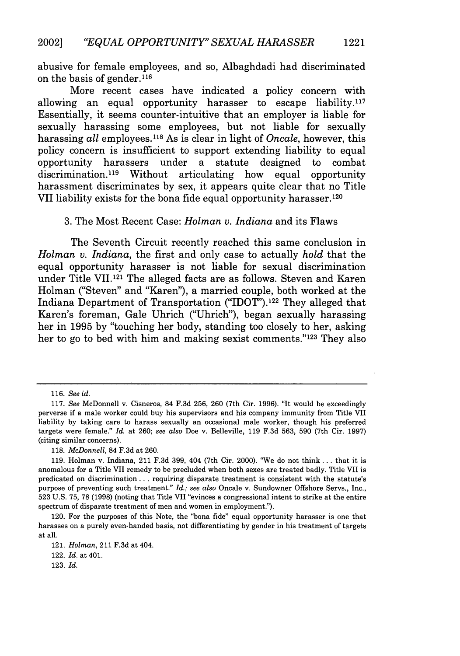abusive for female employees, and so, Albaghdadi had discriminated on the basis of gender. <sup>116</sup>

More recent cases have indicated a policy concern with allowing an equal opportunity harasser to escape liability.<sup>117</sup> Essentially, it seems counter-intuitive that an employer is liable for sexually harassing some employees, but not liable for sexually harassing *all* employees.118 As is clear in light of *Oncale,* however, this policy concern is insufficient to support extending liability to equal opportunity harassers under a statute designed to combat opportunity harassers under a statute designed to combat discrimination.<sup>119</sup> Without articulating how equal opportunity harassment discriminates by sex, it appears quite clear that no Title VII liability exists for the bona fide equal opportunity harasser.120

#### 3. The Most Recent Case: *Holman v. Indiana* and its Flaws

The Seventh Circuit recently reached this same conclusion in *Holman v. Indiana,* the first and only case to actually *hold* that the equal opportunity harasser is not liable for sexual discrimination under Title VII.121 The alleged facts are as follows. Steven and Karen Holman ("Steven" and "Karen"), a married couple, both worked at the Indiana Department of Transportation ("IDOT").122 They alleged that Karen's foreman, Gale Uhrich ("Uhrich"), began sexually harassing her in 1995 by "touching her body, standing too closely to her, asking her to go to bed with him and making sexist comments."<sup>123</sup> They also

118. *McDonnell,* 84 F.3d at 260.

<sup>116.</sup> *See id.*

<sup>117.</sup> *See* McDonnell v. Cisneros, 84 F.3d 256, 260 (7th Cir. 1996). "It would be exceedingly perverse if a male worker could buy his supervisors and his company immunity from Title VII liability by taking care to harass sexually an occasional male worker, though his preferred targets were female." *Id.* at 260; *see also* Doe v. Belleville, 119 F.3d 563, 590 (7th Cir. 1997) (citing similar concerns).

<sup>119.</sup> Holman v. Indiana, 211 F.3d 399, 404 (7th Cir. 2000). '"We do not think.., that it is anomalous for a Title VII remedy to be precluded when both sexes are treated badly. Title VII is predicated on discrimination **...** requiring disparate treatment is consistent with the statute's purpose of preventing such treatment." *Id.; see also* Oncale v. Sundowner Offshore Servs., Inc., 523 U.S. 75, 78 (1998) (noting that Title VII "evinces a congressional intent to strike at the entire spectrum of disparate treatment of men and women in employment.").

<sup>120.</sup> For the purposes of this Note, the "bona fide" equal opportunity harasser is one that harasses on a purely even-handed basis, not differentiating by gender in his treatment of targets at all.

<sup>121.</sup> *Holman,* 211 F.3d at 404.

<sup>122.</sup> *Id.* at 401.

<sup>123.</sup> *Id.*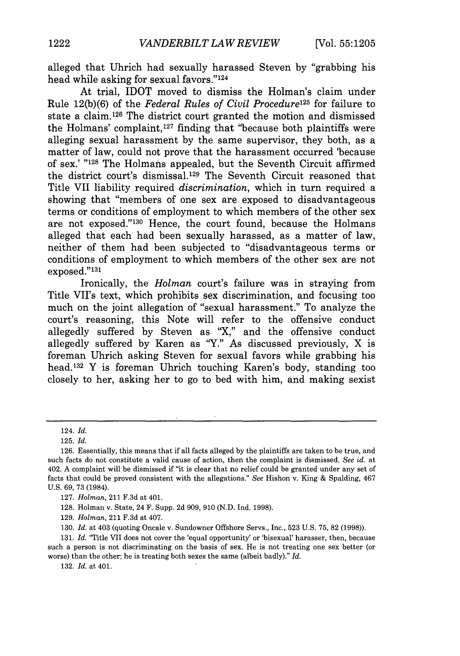alleged that Uhrich had sexually harassed Steven by "grabbing his head while asking for sexual favors."<sup>124</sup>

At trial, IDOT moved to dismiss the Holman's claim under Rule 12(b)(6) of the *Federal Rules of Civil Procedure125* for failure to state a claim. 126 The district court granted the motion and dismissed the Holmans' complaint, 127 finding that "because both plaintiffs were alleging sexual harassment by the same supervisor, they both, as a matter of law, could not prove that the harassment occurred 'because of sex.' "<sup>128</sup> The Holmans appealed, but the Seventh Circuit affirmed the district court's dismissal.129 The Seventh Circuit reasoned that Title VII liability required *discrimination,* which in turn required a showing that "members of one sex are exposed to disadvantageous terms or conditions of employment to which members of the other sex are not exposed."<sup>130</sup> Hence, the court found, because the Holmans alleged that each had been sexually harassed, as a matter of law, neither of them had been subjected to "disadvantageous terms or conditions of employment to which members of the other sex are not exposed."<sup>131</sup>

Ironically, the *Holman* court's failure was in straying from Title VII's text, which prohibits sex discrimination, and focusing too much on the joint allegation of "sexual harassment." To analyze the court's reasoning, this Note will refer to the offensive conduct allegedly suffered by Steven as "X," and the offensive conduct allegedly suffered by Karen as "Y." As discussed previously,  $X$  is foreman Uhrich asking Steven for sexual favors while grabbing his head.<sup>132</sup> Y is foreman Uhrich touching Karen's body, standing too closely to her, asking her to go to bed with him, and making sexist

129. *Holman,* 211 F.3d at 407.

130. *Id.* at 403 (quoting Oncale v. Sundowner Offshore Servs., Inc., 523 U.S. 75, 82 (1998)).

131. *Id.* "Title VII does not cover the 'equal opportunity' or 'bisexual' harasser, then, because such a person is not discriminating on the basis of sex. He is not treating one sex better (or worse) than the other; he is treating both sexes the same (albeit badly)." *Id.*

132. *Id.* at 401.

<sup>124.</sup> *Id.*

<sup>125.</sup> *Id.*

<sup>126.</sup> Essentially, this means that if all facts alleged by the plaintiffs are taken to be true, and such facts do not constitute a valid cause of action, then the complaint is dismissed. *See id.* at 402. A complaint will be dismissed if "it is clear that no relief could be granted under any set of facts that could be proved consistent with the allegations." *See* Hishon v. King & Spalding, 467 U.S. 69, 73 (1984).

<sup>127.</sup> *Holman,* 211 F.3d at 401.

<sup>128.</sup> Holman v. State, 24 F. Supp. 2d 909, 910 (N.D. Ind. 1998).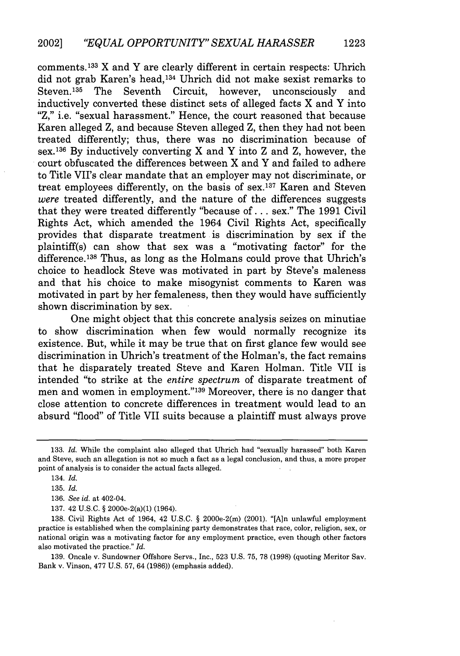comments. 133 X and Y are clearly different in certain respects: Uhrich did not grab Karen's head,<sup>134</sup> Uhrich did not make sexist remarks to Steven.135 The Seventh Circuit, however, unconsciously and inductively converted these distinct sets of alleged facts X and Y into "Z," i.e. "sexual harassment." Hence, the court reasoned that because Karen alleged Z, and because Steven alleged Z, then they had not been treated differently; thus, there was no discrimination because of sex.136 By inductively converting X and Y into Z and Z, however, the court obfuscated the differences between X and Y and failed to adhere to Title VII's clear mandate that an employer may not discriminate, or treat employees differently, on the basis of sex. 137 Karen and Steven *were* treated differently, and the nature of the differences suggests that they were treated differently "because of... sex." The 1991 Civil Rights Act, which amended the 1964 Civil Rights Act, specifically provides that disparate treatment is discrimination by sex if the plaintiff(s) can show that sex was a "motivating factor" for the difference.<sup>138</sup> Thus, as long as the Holmans could prove that Uhrich's choice to headlock Steve was motivated in part by Steve's maleness and that his choice to make misogynist comments to Karen was motivated in part by her femaleness, then they would have sufficiently shown discrimination by sex.

One might object that this concrete analysis seizes on minutiae to show discrimination when few would normally recognize its existence. But, while it may be true that on first glance few would see discrimination in Uhrich's treatment of the Holman's, the fact remains that he disparately treated Steve and Karen Holman. Title VII is intended "to strike at the *entire spectrum* of disparate treatment of men and women in employment."<sup>139</sup> Moreover, there is no danger that close attention to concrete differences in treatment would lead to an absurd "flood" of Title VII suits because a plaintiff must always prove

<sup>133.</sup> *Id.* While the complaint also alleged that Uhrich had "sexually harassed" both Karen and Steve, such an allegation is not so much a fact as a legal conclusion, and thus, a more proper point of analysis is to consider the actual facts alleged.

<sup>134.</sup> *Id.*

<sup>135.</sup> *Id.*

<sup>136.</sup> *See id.* at 402-04.

<sup>137. 42</sup> U.S.C. § 2000e-2(a)(1) (1964).

<sup>138.</sup> Civil Rights Act of 1964, 42 U.S.C. § 2000e-2(m) (2001). "[Aln unlawful employment practice is established when the complaining party demonstrates that race, color, religion, sex, or national origin was a motivating factor for any employment practice, even though other factors also motivated the practice." *Id.*

<sup>139.</sup> Oncale v. Sundowner Offshore Servs., Inc., 523 U.S. 75, 78 (1998) (quoting Meritor Sav. Bank v. Vinson, 477 U.S. 57, 64 (1986)) (emphasis added).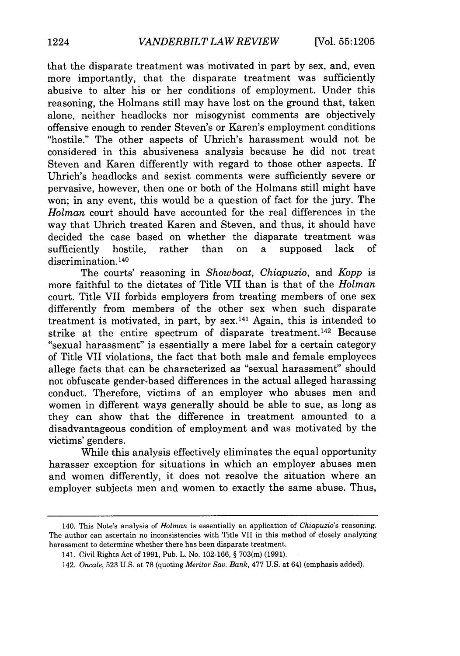that the disparate treatment was motivated in part by sex, and, even more importantly, that the disparate treatment was sufficiently abusive to alter his or her conditions of employment. Under this reasoning, the Holmans still may have lost on the ground that, taken alone, neither headlocks nor misogynist comments are objectively offensive enough to render Steven's or Karen's employment conditions "hostile." The other aspects of Uhrich's harassment would not be considered in this abusiveness analysis because he did not treat Steven and Karen differently with regard to those other aspects. If Uhrich's headlocks and sexist comments were sufficiently severe or pervasive, however, then one or both of the Holmans still might have won; in any event, this would be a question of fact for the jury. The *Holman* court should have accounted for the real differences in the way that Uhrich treated Karen and Steven, and thus, it should have decided the case based on whether the disparate treatment was sufficiently hostile, rather than on a supposed lack of discrimination.<sup>140</sup>

The courts' reasoning in *Showboat, Chiapuzio,* and *Kopp* is more faithful to the dictates of Title VII than is that of the *Holman* court. Title VII forbids employers from treating members of one sex differently from members of the other sex when such disparate treatment is motivated, in part, by  $sex<sup>141</sup>$  Again, this is intended to strike at the entire spectrum of disparate treatment. 142 Because "sexual harassment" is essentially a mere label for a certain category of Title VII violations, the fact that both male and female employees allege facts that can be characterized as "sexual harassment" should not obfuscate gender-based differences in the actual alleged harassing conduct. Therefore, victims of an employer who abuses men and women in different ways generally should be able to sue, as long as they can show that the difference in treatment amounted to a disadvantageous condition of employment and was motivated by the victims' genders.

While this analysis effectively eliminates the equal opportunity harasser exception for situations in which an employer abuses men and women differently, it does not resolve the situation where an employer subjects men and women to exactly the same abuse. Thus,

<sup>140.</sup> This Note's analysis of *Holman* is essentially an application of *Chiapuzio's* reasoning. The author can ascertain no inconsistencies with Title VII in this method of closely analyzing harassment to determine whether there has been disparate treatment.

<sup>141.</sup> Civil Rights Act of 1991, Pub. L. No. 102-166, § 703(m) (1991).

<sup>142.</sup> *Oncale,* 523 U.S. at 78 (quoting *Meritor Say. Bank,* 477 U.S. at 64) (emphasis added).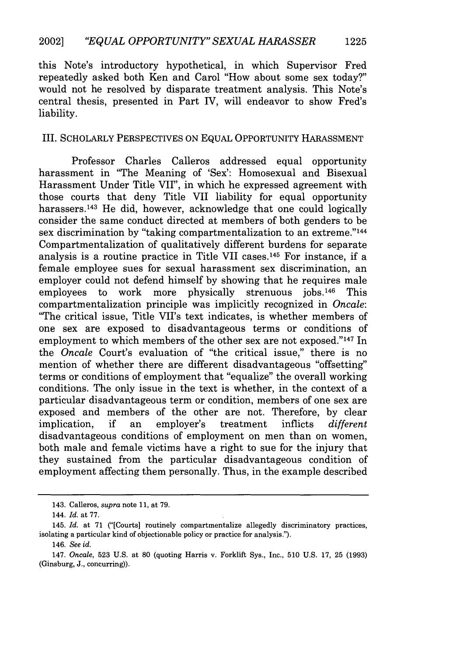this Note's introductory hypothetical, in which Supervisor Fred repeatedly asked both Ken and Carol "How about some sex today?" would not be resolved by disparate treatment analysis. This Note's central thesis, presented in Part IV, will endeavor to show Fred's liability.

#### III. SCHOLARLY PERSPECTIVES ON EQUAL OPPORTUNITY HARASSMENT

Professor Charles Calleros addressed equal opportunity harassment in "The Meaning of 'Sex': Homosexual and Bisexual Harassment Under Title VII", in which he expressed agreement with those courts that deny Title VII liability for equal opportunity harassers.<sup>143</sup> He did, however, acknowledge that one could logically consider the same conduct directed at members of both genders to be sex discrimination by "taking compartmentalization to an extreme."<sup>144</sup> Compartmentalization of qualitatively different burdens for separate analysis is a routine practice in Title VII cases. 145 For instance, if a female employee sues for sexual harassment sex discrimination, an employer could not defend himself by showing that he requires male employees to work more physically strenuous jobs.<sup>146</sup> This compartmentalization principle was implicitly recognized in *Oncale:* "The critical issue, Title VII's text indicates, is whether members of one sex are exposed to disadvantageous terms or conditions of employment to which members of the other sex are not exposed."<sup>147</sup> In the *Oncale* Court's evaluation of "the critical issue," there is no mention of whether there are different disadvantageous "offsetting" terms or conditions of employment that "equalize" the overall working conditions. The only issue in the text is whether, in the context of a particular disadvantageous term or condition, members of one sex are exposed and members of the other are not. Therefore, by clear implication, if an employer's treatment inflicts *different* disadvantageous conditions of employment on men than on women, both male and female victims have a right to sue for the injury that they sustained from the particular disadvantageous condition of employment affecting them personally. Thus, in the example described

**1225**

<sup>143.</sup> Calleros, *supra* note 11, at **79.**

<sup>144.</sup> *Id.* at 77.

<sup>145.</sup> *Id.* at 71 ("[Courts] routinely compartmentalize allegedly discriminatory practices, isolating a particular kind of objectionable policy or practice for analysis.").

<sup>146.</sup> *See id.*

<sup>147.</sup> *Oncale,* 523 U.S. at **80** (quoting Harris v. Forklift Sys., Inc., 510 U.S. 17, 25 (1993) (Ginsburg, J., concurring)).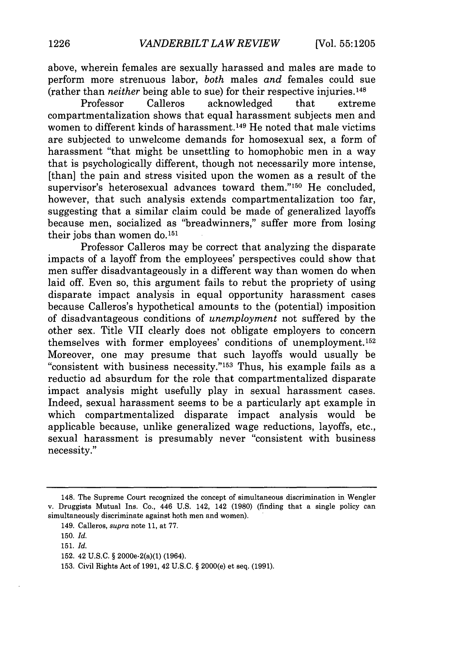above, wherein females are sexually harassed and males are made to perform more strenuous labor, *both* males *and* females could sue (rather than *neither* being able to sue) for their respective injuries.148

Professor Calleros acknowledged that extreme compartmentalization shows that equal harassment subjects men and women to different kinds of harassment.<sup>149</sup> He noted that male victims are subjected to unwelcome demands for homosexual sex, a form of harassment "that might be unsettling to homophobic men in a way that is psychologically different, though not necessarily more intense, [than] the pain and stress visited upon the women as a result of the supervisor's heterosexual advances toward them."<sup>150</sup> He concluded, however, that such analysis extends compartmentalization too far, suggesting that a similar claim could be made of generalized layoffs because men, socialized as "breadwinners," suffer more from losing their jobs than women do.<sup>151</sup>

Professor Calleros may be correct that analyzing the disparate impacts of a layoff from the employees' perspectives could show that men suffer disadvantageously in a different way than women do when laid off. Even so, this argument fails to rebut the propriety of using disparate impact analysis in equal opportunity harassment cases because Calleros's hypothetical amounts to the (potential) imposition of disadvantageous conditions of *unemployment* not suffered by the other sex. Title VII clearly does not obligate employers to concern themselves with former employees' conditions of unemployment.<sup>152</sup> Moreover, one may presume that such layoffs would usually be "consistent with business necessity."'153 Thus, his example fails as a reductio ad absurdum for the role that compartmentalized disparate impact analysis might usefully play in sexual harassment cases. Indeed, sexual harassment seems to be a particularly apt example in which compartmentalized disparate impact analysis would be applicable because, unlike generalized wage reductions, layoffs, etc., sexual harassment is presumably never "consistent with business necessity."

152. 42 U.S.C. § 2000e-2(a)(1) (1964).

<sup>148.</sup> The Supreme Court recognized the concept of simultaneous discrimination in Wengler v. Druggists Mutual Ins. Co., 446 U.S. 142, 142 (1980) (finding that a single policy can simultaneously discriminate against both men and women).

<sup>149.</sup> Calleros, *supra* note 11, at 77.

<sup>150.</sup> *Id.*

<sup>151.</sup> *Id.*

<sup>153.</sup> Civil Rights Act of 1991, 42 U.S.C. § 2000(e) et seq. (1991).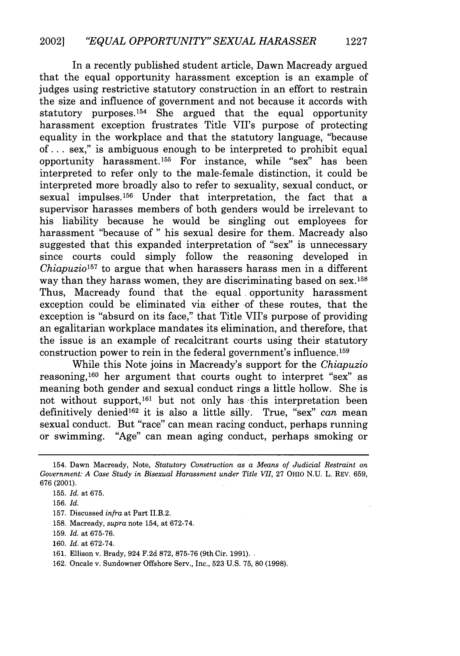In a recently published student article, Dawn Macready argued that the equal opportunity harassment exception is an example of judges using restrictive statutory construction in an effort to restrain the size and influence of government and not because it accords with statutory purposes. 154 She argued that the equal opportunity harassment exception frustrates Title VII's purpose of protecting equality in the workplace and that the statutory language, "because of... sex," is ambiguous enough to be interpreted to prohibit equal opportunity harassment. 155 For instance, while "sex" has been interpreted to refer only to the male-female distinction, it could be interpreted more broadly also to refer to sexuality, sexual conduct, or sexual impulses. 156 Under that interpretation, the fact that a supervisor harasses members of both genders would be irrelevant to his liability because he would be singling out employees for harassment "because of " his sexual desire for them. Macready also suggested that this expanded interpretation of "sex" is unnecessary since courts could simply follow the reasoning developed *Chiapuzio157* to argue that when harassers harass men in a different way than they harass women, they are discriminating based on sex.<sup>158</sup> Thus, Macready found that the- equal, opportunity harassment exception could be eliminated via either of these routes, that the exception is "absurd on its face," that Title VII's purpose of providing an egalitarian workplace mandates its elimination, and therefore, that the issue is an example of recalcitrant courts using their statutory construction power to rein in the federal government's influence. <sup>159</sup>

While this Note joins in Macready's support for the *Chiapuzio* reasoning, $160$  her argument that courts ought to interpret "sex" as meaning both gender and sexual conduct rings a little hollow. She is not without support,16' but not only has -this interpretation been definitively denied 162 it is also a little silly. True, "sex" *can* mean sexual conduct. But "race" can mean racing conduct, perhaps running or swimming. "Age" can mean aging conduct, perhaps smoking or

**160.** *Id.* at **672-74.**

<sup>154.</sup> Dawn Macready, Note, *Statutory Construction as a Means of Judicial Restraint on Government: A Case Study in Bisexual Harassment under Title VII,* **27** OHIO **N.U.** L. REV. **659, 676 (2001).**

**<sup>155.</sup>** *Id.* at **675.**

**<sup>156.</sup>** *Id.*

**<sup>157.</sup>** Discussed *infra* at Part II.B.2.

**<sup>158.</sup>** Macready, *supra* note 154, at **672-74.**

**<sup>159.</sup>** *Id.* at **675-76.**

**<sup>161.</sup>** Ellison v. Brady, 924 **F.2d 872, 875-76** (9th Cir. **1991).**

**<sup>162.</sup>** Oncale v. Sundowner Offshore Serv., Inc., **523** U.S. 75, **80** (1998).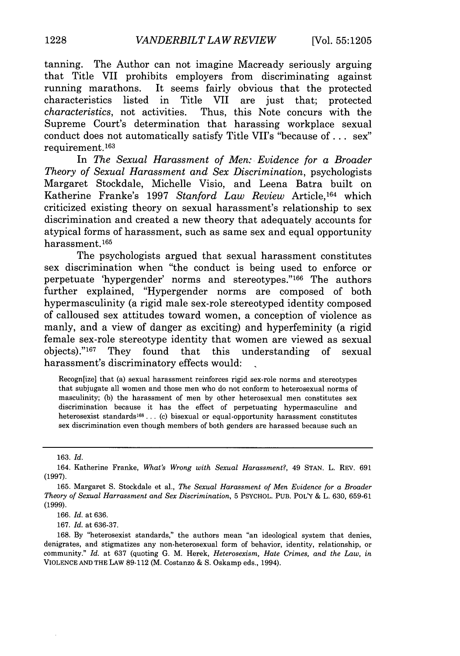tanning. The Author can not imagine Macready seriously arguing that Title VII prohibits employers from discriminating against running marathons. It seems fairly obvious that the protected characteristics listed in Title VII are just that; protected *characteristics*, not activities. Thus this Note concurs with the Thus, this Note concurs with the Supreme Court's determination that harassing workplace sexual conduct does not automatically satisfy Title VII's "because of **...** sex" requirement.1<sup>63</sup>

In *The Sexual Harassment of Men: Evidence for a Broader Theory of Sexual Harassment and Sex Discrimination,* psychologists Margaret Stockdale, Michelle Visio, and Leena Batra built on Katherine Franke's 1997 *Stanford Law Review* Article, 164 which criticized existing theory on sexual harassment's relationship to sex discrimination and created a new theory that adequately accounts for atypical forms of harassment, such as same sex and equal opportunity harassment.165

The psychologists argued that sexual harassment constitutes sex discrimination when "the conduct is being used to enforce or perpetuate 'hypergender' norms and stereotypes."'166 The authors further explained, "Hypergender norms are composed of both hypermasculinity (a rigid male sex-role stereotyped identity composed of calloused sex attitudes toward women, a conception of violence as manly, and a view of danger as exciting) and hyperfeminity (a rigid female sex-role stereotype identity that women are viewed as sexual objects)."<sup>167</sup> They found that this understanding of sexual harassment's discriminatory effects would:

Recogn[ize] that (a) sexual harassment reinforces rigid sex-role norms and stereotypes that subjugate all women and those men who do not conform to heterosexual norms of masculinity; (b) the harassment of men by other heterosexual men constitutes sex discrimination because it has the effect of perpetuating hypermasculine and heterosexist standards<sup>168</sup> ... (c) bisexual or equal-opportunity harassment constitutes sex discrimination even though members of both genders are harassed because such an

167. *Id.* at 636-37.

168. By "heterosexist standards," the authors mean "an ideological system that denies, denigrates, and stigmatizes any non-heterosexual form of behavior, identity, relationship, or community." *Id.* at 637 (quoting G. M. Herek, *Heterosexism, Hate Crimes, and the Law, in* VIOLENCE AND THE LAW 89-112 (M. Costanzo & S. Oskamp eds., 1994).

<sup>163.</sup> *Id.*

<sup>164.</sup> Katherine Franke, *What's Wrong with Sexual Harassment?,* 49 STAN. L. REV. 691 (1997).

<sup>165.</sup> Margaret S. Stockdale et al., *The Sexual Harassment of Men Evidence for a Broader Theory of Sexual Harrassment and Sex Discrimination,* 5 PSYCHOL. PUB. POLY & L. 630, 659-61 (1999).

<sup>166.</sup> *Id.* at 636.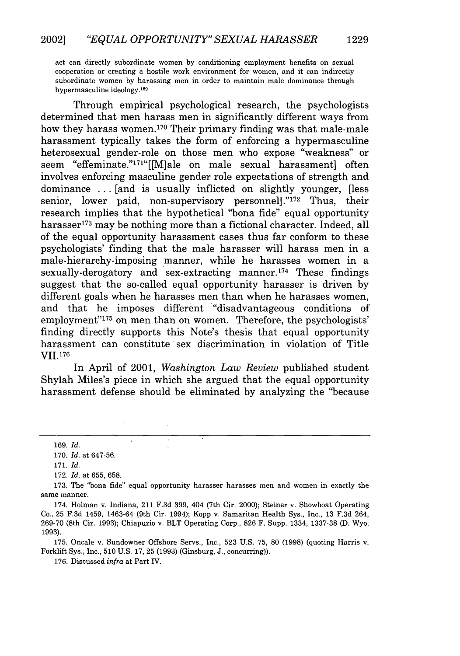act can directly subordinate women by conditioning employment benefits on sexual cooperation or creating a hostile work environment for women, and it can indirectly subordinate women by harassing men in order to maintain male dominance through hypermasculine ideology.<sup>169</sup>

Through empirical psychological research, the psychologists determined that men harass men in significantly different ways from how they harass women.<sup>170</sup> Their primary finding was that male-male harassment typically takes the form of enforcing a hypermasculine heterosexual gender-role on those men who expose "weakness" or seem "effeminate."171"[[M]ale on male sexual harassment] often involves enforcing masculine gender role expectations of strength and dominance ... [and is usually inflicted on slightly younger, [less senior, lower paid, non-supervisory personnell."<sup>172</sup> Thus, their research implies that the hypothetical "bona fide" equal opportunity harasser<sup>173</sup> may be nothing more than a fictional character. Indeed, all of the equal opportunity harassment cases thus far conform to these psychologists' finding that the male harasser will harass men in a male-hierarchy-imposing manner, while he harasses women in a sexually-derogatory and sex-extracting manner.<sup>174</sup> These findings suggest that the so-called equal opportunity harasser is driven by different goals when he harasses men than when he harasses women, and that he imposes different "disadvantageous conditions of employment"'175 on men than on women. Therefore, the psychologists' finding directly supports this Note's thesis that equal opportunity harassment can constitute sex discrimination in violation of Title VII.176

In April of 2001, *Washington Law Review* published student Shylah Miles's piece in which she argued that the equal opportunity harassment defense should be eliminated by analyzing the "because

172. *Id.* at 655, 658.

174. Holman v. Indiana, 211 F.3d 399, 404 (7th Cir. 2000); Steiner v. Showboat Operating Co., 25 F.3d 1459, 1463-64 (9th Cir. 1994); Kopp v. Samaritan Health Sys., Inc., 13 F.3d 264, 269-70 (8th Cir. 1993); Chiapuzio v. BLT Operating Corp., 826 F. Supp. 1334, 1337-38 (D. Wyo. 1993).

175. Oncale v. Sundowner Offshore Servs., Inc., 523 U.S. 75, **80** (1998) (quoting Harris v. Forklift Sys., Inc., 510 U.S. 17, 25 (1993) (Ginsburg, J., concurring)).

176. Discussed *infra* at Part IV.

 $\overline{1}$ 

**1229**

<sup>169.</sup> *Id.*

<sup>170.</sup> *Id.* at 647-56.

<sup>171.</sup> *Id.*

<sup>173.</sup> The "bona fide" equal opportunity harasser harasses men and women in exactly the same manner.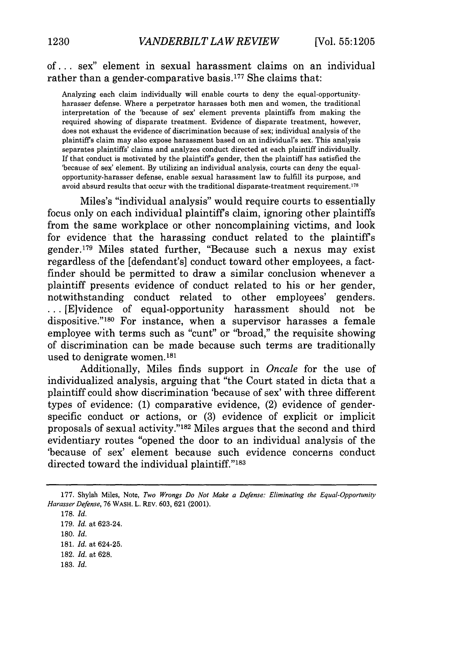## of... sex" element in sexual harassment claims on an individual rather than a gender-comparative basis.<sup>177</sup> She claims that:

Analyzing each claim individually will enable courts to deny the equal-opportunityharasser defense. Where a perpetrator harasses both men and women, the traditional interpretation of the 'because of sex' element prevents plaintiffs from making the required showing of disparate treatment. Evidence of disparate treatment, however, does not exhaust the evidence of discrimination because of sex; individual analysis of the plaintiffs claim may also expose harassment based on an individual's sex. This analysis separates plaintiffs' claims and analyzes conduct directed at each plaintiff individually. If that conduct is motivated by the plaintiffs gender, then the plaintiff has satisfied the 'because of sex' element. By utilizing an individual analysis, courts can deny the equalopportunity-harasser defense, enable sexual harassment law to fulfill its purpose, and avoid absurd results that occur with the traditional disparate-treatment requirement.<sup>178</sup>

Miles's "individual analysis" would require courts to essentially focus only on each individual plaintiffs claim, ignoring other plaintiffs from the same workplace or other noncomplaining victims, and look for evidence that the harassing conduct related to the plaintiffs gender. 179 Miles stated further, "Because such a nexus may exist regardless of the [defendant's] conduct toward other employees, a factfinder should be permitted to draw a similar conclusion whenever a plaintiff presents evidence of conduct related to his or her gender, notwithstanding conduct related to other employees' genders. ... [E]vidence of equal-opportunity harassment should not be dispositive."<sup>180</sup> For instance, when a supervisor harasses a female employee with terms such as "cunt" or "broad," the requisite showing of discrimination can be made because such terms are traditionally used to denigrate women.181

Additionally, Miles finds support in *Oncale* for the use of individualized analysis, arguing that "the Court stated in dicta that a plaintiff could show discrimination 'because of sex' with three different types of evidence: (1) comparative evidence, (2) evidence of genderspecific conduct or actions, or (3) evidence of explicit or implicit proposals of sexual activity."<sup>182</sup> Miles argues that the second and third evidentiary routes "opened the door to an individual analysis of the 'because of sex' element because such evidence concerns conduct directed toward the individual plaintiff."<sup>183</sup>

183. *Id.*

<sup>177.</sup> Shylah Miles, Note, *Two Wrongs Do Not Make a Defense: Eliminating the Equal-Opportunity Harasser Defense,* 76 WASH. L. REv. 603, 621 (2001).

<sup>178.</sup> *Id.*

<sup>179.</sup> *Id.* at 623-24.

<sup>180.</sup> *Id.*

<sup>181.</sup> *Id.* at 624-25.

<sup>182.</sup> *Id.* at 628.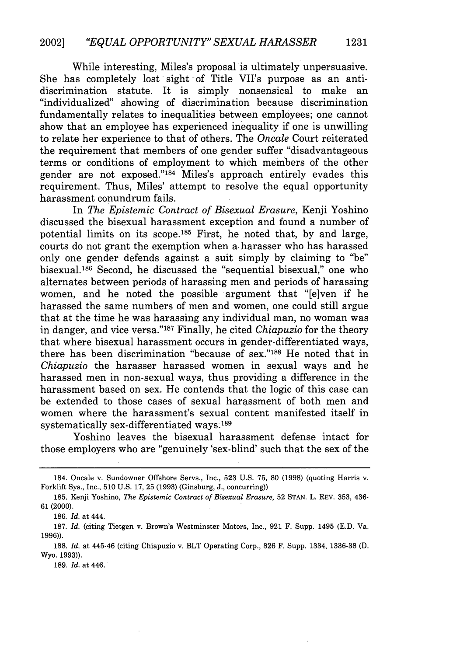While interesting, Miles's proposal is ultimately unpersuasive. She has completely lost sight of Title VII's purpose as an antidiscrimination statute. It is simply nonsensical to make an "individualized" showing of discrimination because discrimination fundamentally relates to inequalities between employees; one cannot show that an employee has experienced inequality if one is unwilling to relate her experience to that of others. The *Oncale* Court reiterated the requirement that members of one gender suffer "disadvantageous terms or conditions of employment to which members of the other gender are not exposed."<sup>184</sup> Miles's approach entirely evades this requirement. Thus, Miles' attempt to resolve the equal opportunity harassment conundrum fails.

In *The Epistemic Contract of Bisexual Erasure,* Kenji Yoshino discussed the bisexual harassment exception and found a number of potential limits on its scope.185 First, he noted that, by and large, courts do not grant the exemption when a harasser who has harassed only one gender defends against a suit simply by claiming to "be" bisexual.<sup>186</sup> Second, he discussed the "sequential bisexual," one who alternates between periods of harassing men and periods of harassing women, and he noted the possible argument that "[e]ven if he harassed the same numbers of men and women, one could still argue that at the time he was harassing any individual man, no woman was in danger, and vice versa."<sup>187</sup> Finally, he cited *Chiapuzio* for the theory that where bisexual harassment occurs in gender-differentiated ways, there has been discrimination "because of sex."188 He noted that in *Chiapuzio* the harasser harassed women in sexual ways and he harassed men in non-sexual ways, thus providing a difference in the harassment based on sex. He contends that the logic of this case can be extended to those cases of sexual harassment of both men and women where the harassment's sexual content manifested itself in systematically sex-differentiated ways **<sup>189</sup>**

Yoshino leaves the bisexual harassment defense intact for those employers who are "genuinely 'sex-blind' such that the sex of the

186. *Id.* at 444.

189. *Id.* at 446.

**1231**

<sup>184.</sup> Oncale v. Sundowner Offshore Servs., Inc., 523 U.S. 75, **80** (1998) (quoting Harris v. Forklift Sys., Inc., 510 U.S. 17, 25 (1993) (Ginsburg, J., concurring))

<sup>185.</sup> Kenji Yoshino, *The Epistemic Contract of Bisexual Erasure,* 52 STAN. L. REV. 353, 436- 61 (2000).

<sup>187.</sup> *Id.* (citing Tietgen v. Brown's Westminster Motors, Inc., 921 F. Supp. 1495 (E.D. Va. 1996)).

<sup>188.</sup> *Id.* at 445-46 (citing Chiapuzio v. BLT Operating Corp., 826 F. Supp. 1334, 1336-38 (D. Wyo. 1993)).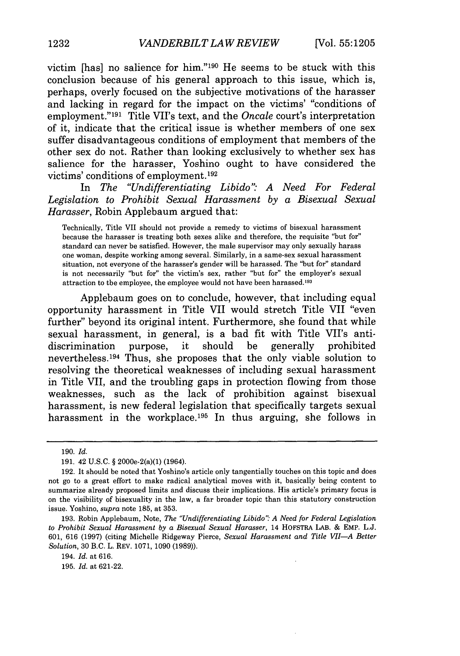victim [has] no salience for him."190 He seems to be stuck with this conclusion because of his general approach to this issue, which is, perhaps, overly focused on the subjective motivations of the harasser and lacking in regard for the impact on the victims' "conditions of employment." 191 Title VII's text, and the *Oncale* court's interpretation of it, indicate that the critical issue is whether members of one sex suffer disadvantageous conditions of employment that members of the other sex do not. Rather than looking exclusively to whether sex has salience for the harasser, Yoshino ought to have considered the victims' conditions of employment. <sup>192</sup>

In *The "Undifferentiating Libido'" A Need For Federal Legislation to Prohibit Sexual Harassment by a Bisexual Sexual Harasser,* Robin Applebaum argued that:

Technically, Title VII should not provide a remedy to victims of bisexual harassment because the harasser is treating both sexes alike and therefore, the requisite "but for" standard can never be satisfied. However, the male supervisor may only sexually harass one woman, despite working among several. Similarly, in a same-sex sexual harassment situation, not everyone of the harasser's gender will be harassed. The "but for" standard is not necessarily "but for" the victim's sex, rather "but for" the employer's sexual attraction to the employee, the employee would not have been harassed.<sup>193</sup>

Applebaum goes on to conclude, however, that including equal opportunity harassment in Title VII would stretch Title VII "even further" beyond its original intent. Furthermore, she found that while sexual harassment, in general, is a bad fit with Title VII's antidiscrimination purpose, it should be generally prohibited nevertheless. 194 Thus, she proposes that the only viable solution to resolving the theoretical weaknesses of including sexual harassment in Title VII, and the troubling gaps in protection flowing from those weaknesses, such as the lack of prohibition against bisexual harassment, is new federal legislation that specifically targets sexual harassment in the workplace.<sup>195</sup> In thus arguing, she follows in

<sup>190.</sup> *Id.*

<sup>191. 42</sup> U.S.C. § 2000e-2(a)(1) (1964).

<sup>192.</sup> It should be noted that Yoshino's article only tangentially touches on this topic and does not go to a great effort to make radical analytical moves with it, basically being content to summarize already proposed limits and discuss their implications. His article's primary focus is on the visibility of bisexuality in the law, a far broader topic than this statutory construction issue. Yoshino, *supra* note 185, at 353.

<sup>193.</sup> Robin Applebaum, Note, *The "Undifferentiating Libido" A Need for Federal Legislation to Prohibit Sexual Harassment by a Bisexual Sexual Harasser,* 14 HOFSTRA LAB. & EMP. L.J. 601, 616 (1997) (citing Michelle Ridgeway Pierce, *Sexual Harassment and Title VII-A Better Solution,* 30 B.C. L. REV. 1071, 1090 (1989)).

<sup>194.</sup> *Id.* at 616.

<sup>195.</sup> *Id.* at 621-22.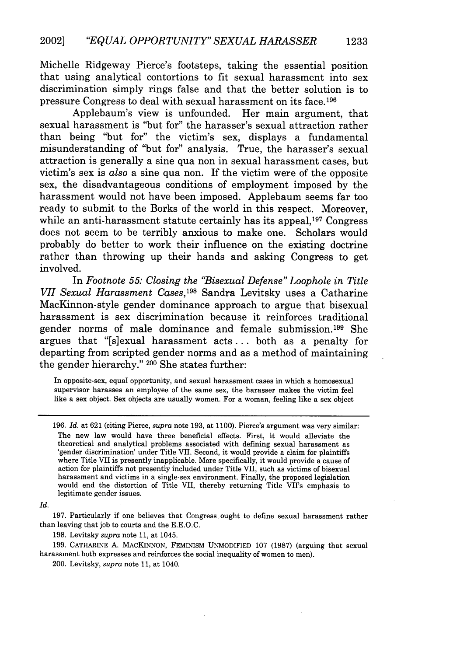Michelle Ridgeway Pierce's footsteps, taking the essential position that using analytical contortions to fit sexual harassment into sex discrimination simply rings false and that the better solution is to pressure Congress to deal with sexual harassment on its face. <sup>196</sup>

Applebaum's view is unfounded. Her main argument, that sexual harassment is "but for" the harasser's sexual attraction rather than being "but for" the victim's sex, displays a fundamental misunderstanding of "but for" analysis. True, the harasser's sexual attraction is generally a sine qua non in sexual harassment cases, but victim's sex is *also* a sine qua non. If the victim were of the opposite sex, the disadvantageous conditions of employment imposed by the harassment would not have been imposed. Applebaum seems far too ready to submit to the Borks of the world in this respect. Moreover, while an anti-harassment statute certainly has its appeal,<sup>197</sup> Congress does not seem to be terribly anxious to make one. Scholars would probably do better to work their influence on the existing doctrine rather than throwing up their hands and asking Congress to get involved.

In *Footnote 55: Closing the "Bisexual Defense" Loophole in Title VII Sexual Harassment Cases,198* Sandra Levitsky uses a Catharine MacKinnon-style gender dominance approach to argue that bisexual harassment is sex discrimination because it reinforces traditional gender norms of male dominance and female submission. 199 She argues that "[s]exual harassment acts **...** both as a penalty for departing from scripted gender norms and as a method of maintaining the gender hierarchy." **200** She states further:

In opposite-sex, equal opportunity, and sexual harassment cases in which a homosexual supervisor harasses an employee of the same sex, the harasser makes the victim feel like a sex object. Sex objects are usually women. For a woman, feeling like a sex object

*Id.*

197. Particularly if one believes that Congress, ought to define sexual harassment rather than leaving that job to courts and the E.E.O.C.

198. Levitsky *supra* note 11, at 1045.

199. CATHARINE A. MACKINNON, FEMINISM UNMODIFIED 107 (1987) (arguing that sexual harassment both expresses and reinforces the social inequality of women to men).

200. Levitsky, *supra* note 11, at 1040.

<sup>196.</sup> *Id.* at 621 (citing Pierce, *supra* note 193, at 1100). Pierce's argument was very similar: The new law would have three beneficial effects. First, it would alleviate the theoretical and analytical problems associated with defining sexual harassment as 'gender discrimination' under Title VII. Second, it would provide a claim for plaintiffs where Title VII is presently inapplicable. More specifically, it would provide a cause of action for plaintiffs not presently included under Title VII, such as victims of bisexual harassment and victims in a single-sex environment. Finally, the proposed legislation would end the distortion of Title VII, thereby returning Title VII's emphasis to legitimate gender issues.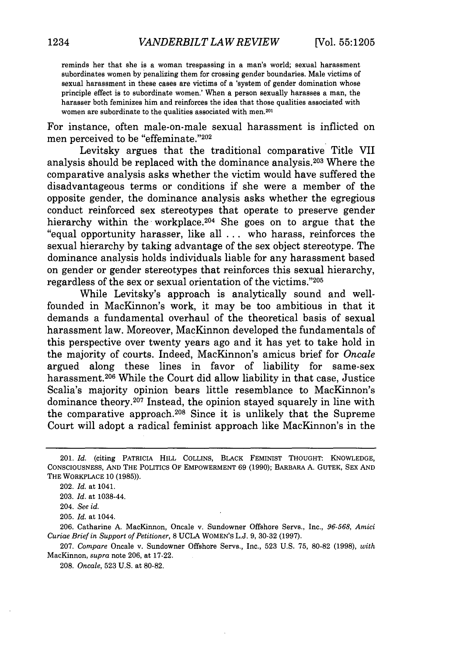reminds her that she is a woman trespassing in a man's world; sexual harassment subordinates women by penalizing them for crossing gender boundaries. Male victims of sexual harassment in these cases are victims of a 'system of gender domination whose principle effect is to subordinate women.' When a person sexually harasses a man, the harasser both feminizes him and reinforces the idea that those qualities associated with women are subordinate to the qualities associated with men.<sup>201</sup>

For instance, often male-on-male sexual harassment is inflicted on men perceived to be "effeminate."202

Levitsky argues that the traditional comparative Title VII analysis should be replaced with the dominance analysis. 203 Where the comparative analysis asks whether the victim would have suffered the disadvantageous terms or conditions if she were a member of the opposite gender, the dominance analysis asks whether the egregious conduct reinforced sex stereotypes that operate to preserve gender hierarchy within the workplace.<sup>204</sup> She goes on to argue that the "equal opportunity harasser, like all ... who harass, reinforces the sexual hierarchy by taking advantage of the sex object stereotype. The dominance analysis holds individuals liable for any harassment based on gender or gender stereotypes that reinforces this sexual hierarchy, regardless of the sex or sexual orientation of the victims."205

While Levitsky's approach is analytically sound and wellfounded in MacKinnon's work, it may be too ambitious in that it demands a fundamental overhaul of the theoretical basis of sexual harassment law. Moreover, MacKinnon developed the fundamentals of this perspective over twenty years ago and it has yet to take hold in the majority of courts. Indeed, MacKinnon's amicus brief for *Oncale* argued along these lines in favor of liability for same-sex harassment.<sup>206</sup> While the Court did allow liability in that case, Justice Scalia's majority opinion bears little resemblance to MacKinnon's dominance theory.<sup>207</sup> Instead, the opinion stayed squarely in line with the comparative approach. 208 Since it is unlikely that the Supreme Court will adopt a radical feminist approach like MacKinnon's in the

<sup>201.</sup> *Id.* (citing PATRICIA HILL **COLLINS,** BLACK FEMINIST **THOUGHT: KNOWLEDGE, CONSCIOUSNESS, AND** THE **POLITICS** OF EMPOWERMENT **69 (1990);** BARBARA **A. GUTEK, SEX AND** THE WORKPLACE **10 (1985)).**

<sup>202.</sup> *Id.* at 1041.

<sup>203.</sup> *Id.* at 1038-44.

<sup>204.</sup> *See id.*

**<sup>205.</sup>** *Id.* at 1044.

<sup>206.</sup> Catharine A. MacKinnon, Oncale v. Sundowner Offshore Servs., Inc., *96-568, Amici Curiae Brief in Support of Petitioner,* 8 UCLA WOMEN'S **L.J. 9,** 30-32 **(1997).**

<sup>207.</sup> *Compare* Oncale v. Sundowner Offshore Servs., Inc., 523 U.S. 75, 80-82 (1998), *with* MacKinnon, *supra* note 206, at 17-22.

<sup>208.</sup> *Oncale,* 523 U.S. at 80-82.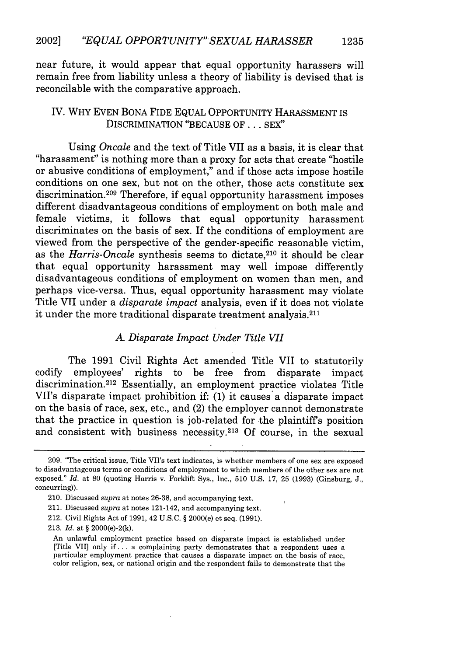near future, it would appear that equal opportunity harassers will remain free from liability unless a theory of liability is devised that is reconcilable with the comparative approach.

#### IV. WHY EVEN BONA FIDE EQUAL OPPORTUNITY HARASSMENT IS DISCRIMINATION "BECAUSE OF... SEX"

Using *Oncale* and the text of Title VII as a basis, it is clear that "harassment" is nothing more than a proxy for acts that create "hostile or abusive conditions of employment," and if those acts impose hostile conditions on one sex, but not on the other, those acts constitute sex discrimination.<sup>209</sup> Therefore, if equal opportunity harassment imposes different disadvantageous conditions of employment on both male and female victims, it follows that equal opportunity harassment discriminates on the basis of sex. If the conditions of employment are viewed from the perspective of the gender-specific reasonable victim, as the *Harris-Oncale* synthesis seems to dictate, 210 it should be clear that equal opportunity harassment may well impose differently disadvantageous conditions of employment on women than men, and perhaps vice-versa. Thus, equal opportunity harassment may violate Title VII under a *disparate impact* analysis, even if it does not violate it under the more traditional disparate treatment analysis. <sup>211</sup>

#### *A. Disparate Impact Under Title VII*

The 1991 Civil Rights Act amended Title VII to statutorily codify employees' rights to be free from disparate impact discrimination. 212 Essentially, an employment practice violates Title VII's disparate impact prohibition if: (1) it causes' a disparate impact on the basis of race, sex, etc., and (2) the employer cannot demonstrate that the practice in question is job-related for the plaintiffs position and consistent with business necessity.<sup>213</sup> Of course, in the sexual

<sup>209. &</sup>quot;The critical issue, Title VII's text indicates, is whether members of one sex are exposed to disadvantageous terms or conditions of employment to which members of the other sex are not exposed." *Id.* at 80 (quoting Harris v. Forklift Sys., Inc., 510 U.S. 17, 25 (1993) (Ginsburg, J., concurring)).

<sup>210.</sup> Discussed *supra* at notes 26-38, and accompanying text.

<sup>211.</sup> Discussed *supra* at notes 121-142, and accompanying text.

<sup>212.</sup> Civil Rights Act of 1991, 42 U.S.C. § 2000(e) et seq. (1991).

<sup>213.</sup> *Id.* at § 2000(e)-2(k).

An unlawful employment practice based on disparate impact is established under [Title VII] only if **...** a complaining party demonstrates that a respondent uses a particular employment practice that causes a disparate impact on the basis of race, color religion, sex, or national origin and the respondent fails to demonstrate that the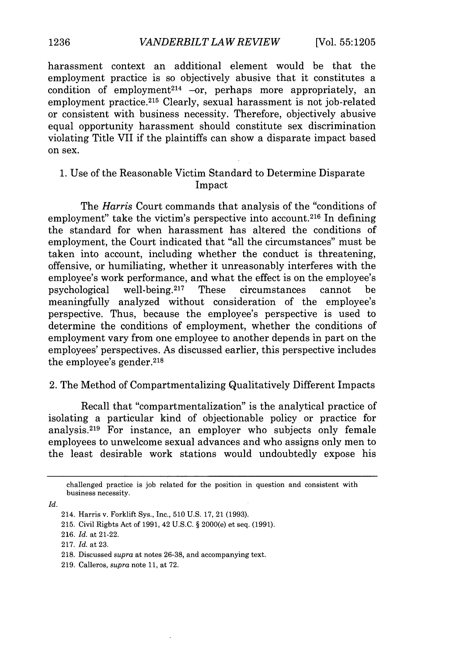harassment context an additional element would be that the employment practice is so objectively abusive that it constitutes a condition of employment<sup>214</sup> -or, perhaps more appropriately, an employment practice.<sup>215</sup> Clearly, sexual harassment is not job-related or consistent with business necessity. Therefore, objectively abusive equal opportunity harassment should constitute sex discrimination violating Title VII if the plaintiffs can show a disparate impact based on sex.

#### 1. Use of the Reasonable Victim Standard to Determine Disparate Impact

The *Harris* Court commands that analysis of the "conditions of employment" take the victim's perspective into account.<sup>216</sup> In defining the standard for when harassment has altered the conditions of employment, the Court indicated that "all the circumstances" must be taken into account, including whether the conduct is threatening, offensive, or humiliating, whether it unreasonably interferes with the employee's work performance, and what the effect is on the employee's psychological well-being.<sup>217</sup> These circumstances cannot be meaningfully analyzed without consideration of the employee's perspective. Thus, because the employee's perspective is used to determine the conditions of employment, whether the conditions of employment vary from one employee to another depends in part on the employees' perspectives. As discussed earlier, this perspective includes the employee's gender. <sup>218</sup>

#### 2. The Method of Compartmentalizing Qualitatively Different Impacts

Recall that "compartmentalization" is the analytical practice of isolating a particular kind of objectionable policy or practice for analysis.<sup>219</sup> For instance, an employer who subjects only female employees to unwelcome sexual advances and who assigns only men to the least desirable work stations would undoubtedly expose his

*Id.*

challenged practice is job related for the position in question and consistent with business necessity.

<sup>214.</sup> Harris v. Forklift Sys., Inc., 510 U.S. 17, 21 (1993).

<sup>215.</sup> Civil Rights Act of 1991, 42 U.S.C. § 2000(e) et seq. (1991).

<sup>216.</sup> *Id.* at 21-22.

<sup>217.</sup> *Id.* at 23.

<sup>218.</sup> Discussed *supra* at notes 26-38, and accompanying text.

<sup>219.</sup> Calleros, *supra* note 11, at 72.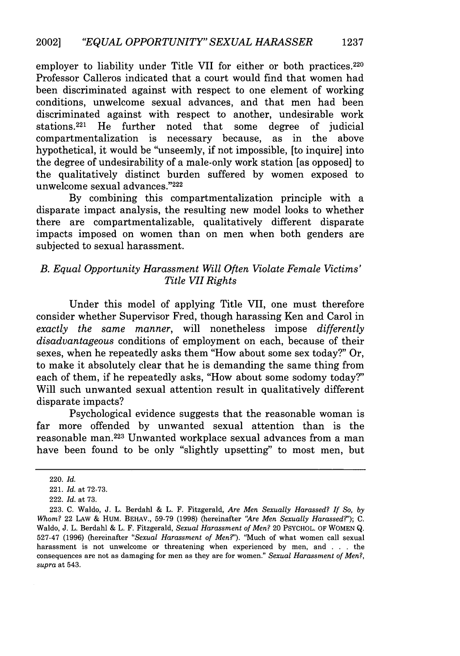employer to liability under Title VII for either or both practices.<sup>220</sup> Professor Calleros indicated that a court would find that women had been discriminated against with respect to one element of working conditions, unwelcome sexual advances, and that men had been discriminated against with respect to another, undesirable work<br>stations.<sup>221</sup> He further noted that some degree of judicial He further noted that some degree of judicial compartmentalization is necessary because, as in the above hypothetical, it would be "unseemly, if not impossible, [to inquire] into the degree of undesirability of a male-only work station [as opposed] to the qualitatively distinct burden suffered by women exposed to unwelcome sexual advances."222

By combining this compartmentalization principle with a disparate impact analysis, the resulting new model looks to whether there are compartmentalizable, qualitatively different disparate impacts imposed on women than on men when both genders are subjected to sexual harassment.

## *B. Equal Opportunity Harassment Will Often Violate Female Victims' Title VII Rights*

Under this model of applying Title VII, one must therefore consider whether Supervisor Fred, though harassing Ken and Carol in *exactly the same manner,* will nonetheless impose *differently disadvantageous* conditions of employment on each, because of their sexes, when he repeatedly asks them "How about some sex today?" Or, to make it absolutely clear that he is demanding the same thing from each of them, if he repeatedly asks, "How about some sodomy today?" Will such unwanted sexual attention result in qualitatively different disparate impacts?

Psychological evidence suggests that the reasonable woman is far more offended by unwanted sexual attention than is the reasonable man. 223 Unwanted workplace sexual advances from a man have been found to be only "slightly upsetting" to most men, but

<sup>220.</sup> *Id.*

<sup>221.</sup> *Id.* at 72-73.

<sup>222.</sup> *Id.* at 73.

<sup>223.</sup> C. Waldo, J. L. Berdahl & L. F. Fitzgerald, *Are Men Sexually Harassed? If So, by Whom?* 22 LAw & HUM. BEHAV., 59-79 (1998) (hereinafter *"Are Men Sexually Harassed'); C.* Waldo, J. L. Berdahl & L. F. Fitzgerald, *Sexual Harassment of Men?* 20 PSYCHOL. OF WOMEN Q. 527-47 (1996) (hereinafter *"Sexual Harassment of Men?').* 'Iuch of what women call sexual harassment is not unwelcome or threatening when experienced by men, and . . **.** the consequences are not as damaging for men as they are for women." *Sexual Harassment of Men?, supra* at 543.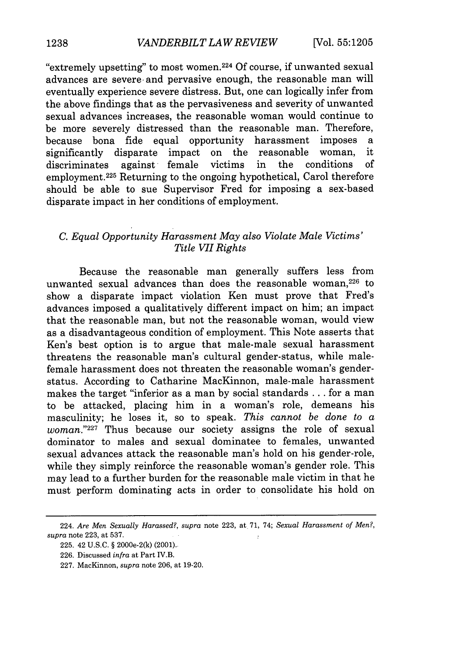"extremely upsetting" to most women. 224 Of course, if unwanted sexual advances are severe and pervasive enough, the reasonable man will eventually experience severe distress. But, one can logically infer from the above findings that as the pervasiveness and severity of unwanted sexual advances increases, the reasonable woman would continue to be more severely distressed than the reasonable man. Therefore, because bona fide equal opportunity harassment imposes a significantly disparate impact on the reasonable woman, it<br>discriminates against female victims in the conditions of discriminates against female victims in the conditions of employment. 225 Returning to the ongoing hypothetical, Carol therefore should be able to sue Supervisor Fred for imposing a sex-based disparate impact in her conditions of employment.

# *C. Equal Opportunity Harassment May also Violate Male Victims' Title VII Rights*

Because the reasonable man generally suffers less from unwanted sexual advances than does the reasonable woman.<sup>226</sup> to show a disparate impact violation Ken must prove that Fred's advances imposed a qualitatively different impact on him; an impact that the reasonable man, but not the reasonable woman, would view as a disadvantageous condition of employment. This Note asserts that Ken's best option is to argue that male-male sexual harassment threatens the reasonable man's cultural gender-status, while malefemale harassment does not threaten the reasonable woman's genderstatus. According to Catharine MacKinnon, male-male harassment makes the target "inferior as a man by social standards **...** for a man to be attacked, placing him in a woman's role, demeans his masculinity; he loses it, so to speak. *This cannot be done to a woman.*"<sup>227</sup> Thus because our society assigns the role of sexual dominator to males and sexual dominatee to females, unwanted sexual advances attack the reasonable man's hold on his gender-role, while they simply reinforce the reasonable woman's gender role. This may lead to a further burden for the reasonable male victim in that he must perform dominating acts in order to consolidate his hold on

<sup>224.</sup> *Are Men Sexually Harassed?, supra* note 223, at 71, 74; *Sexual Harassment of Men?, supra* note 223, at 537.

<sup>225. 42</sup> U.S.C. § 2000e-2(k) (2001)..

<sup>226.</sup> Discussed *infra* at Part IV.B.

<sup>227.</sup> MacKinnon, *supra* note 206, at 19-20.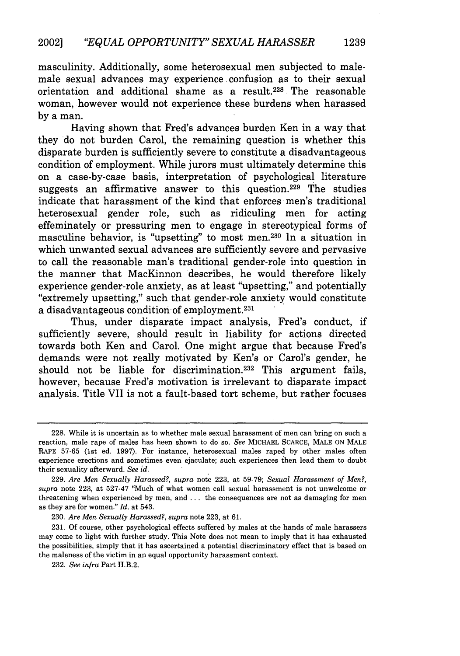masculinity. Additionally, some heterosexual men subjected to malemale sexual advances may experience confusion as to their sexual orientation and additional shame as a result.228 The reasonable woman, however would not experience these burdens when harassed by a man.

Having shown that Fred's advances burden Ken in a way that they do not burden Carol, the remaining question is whether this disparate burden is sufficiently severe to constitute a disadvantageous condition of employment. While jurors must ultimately determine this on a case-by-case basis, interpretation of psychological literature suggests an affirmative answer to this question.<sup>229</sup> The studies indicate that harassment of the kind that enforces men's traditional heterosexual gender role, such as ridiculing men for acting effeminately or pressuring men to engage in stereotypical forms of masculine behavior, is "upsetting" to most men.<sup>230</sup> ln a situation in which unwanted sexual advances are sufficiently severe and pervasive to call the reasonable man's traditional gender-role into question in the manner that MacKinnon describes, he would therefore likely experience gender-role anxiety, as at least "upsetting," and potentially "extremely upsetting," such that gender-role anxiety would constitute a disadvantageous condition of employment.<sup>231</sup>

Thus, under disparate impact analysis, Fred's conduct, if sufficiently severe, should result in liability for actions directed towards both Ken and Carol. One might argue that because Fred's demands were not really motivated by Ken's or Carol's gender, he should not be liable for discrimination.<sup>232</sup> This argument fails, however, because Fred's motivation is irrelevant to disparate impact analysis. Title VII is not a fault-based tort scheme, but rather focuses

230. *Are Men Sexually Harassed?, supra* note 223, at 61.

231. Of course, other psychological effects suffered by males at the hands of male harassers may come to light with further study. This Note does not mean to imply that it has exhausted the possibilities, simply that it has ascertained a potential discriminatory effect that is based on the maleness of the victim in an equal opportunity harassment context.

232. *See infra* Part II.B.2.

**1239**

<sup>228.</sup> While it is uncertain as to whether male sexual harassment of men can bring on such a reaction, male rape of males has been shown to do so. *See* MICHAEL SCARCE, MALE ON MALE RAPE 57-65 (1st ed. 1997). For instance, heterosexual males raped by other males often experience erections and sometimes even ejaculate; such experiences then lead them to doubt their sexuality afterward. *See id.*

<sup>229.</sup> *Are Men Sexually Harassed?, supra* note 223, at 59-79; *Sexual Harassment of Men?, supra* note 223, at 527-47 'Much of what women call sexual harassment is not unwelcome or threatening when experienced by men, and ... the consequences are not as damaging for men as they are for women." *Id.* at 543.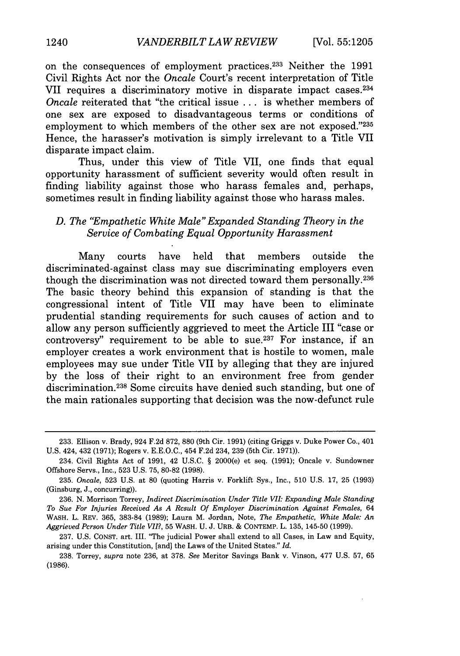on the consequences of employment practices. 233 Neither the 1991 Civil Rights Act nor the *Oncale* Court's recent interpretation of Title VII requires a discriminatory motive in disparate impact cases.<sup>234</sup> *Oncale* reiterated that "the critical issue ... is whether members of one sex are exposed to disadvantageous terms or conditions of employment to which members of the other sex are not exposed."235 Hence, the harasser's motivation is simply irrelevant to a Title VII disparate impact claim.

Thus, under this view of Title VII, one finds that equal opportunity harassment of sufficient severity would often result in finding liability against those who harass females and, perhaps, sometimes result in finding liability against those who harass males.

#### *D. The "Empathetic White Male" Expanded Standing Theory in the Service of Combating Equal Opportunity Harassment*

Many courts have held that members outside the discriminated-against class may sue discriminating employers even though the discrimination was not directed toward them personally. <sup>236</sup> The basic theory behind this expansion of standing is that the congressional intent of Title VII may have been to eliminate prudential standing requirements for such causes of action and to allow any person sufficiently aggrieved to meet the Article III "case or controversy" requirement to be able to sue.<sup>237</sup> For instance, if an employer creates a work environment that is hostile to women, male employees may sue under Title VII by alleging that they are injured by the loss of their right to an environment free from gender discrimination.<sup>238</sup> Some circuits have denied such standing, but one of the main rationales supporting that decision was the now-defunct rule

<sup>233.</sup> Ellison v. Brady, 924 F.2d 872, 880 (9th Cir. 1991) (citing Griggs v. Duke Power Co., 401 U.S. 424, 432 (1971); Rogers v. E.E.O.C., 454 F.2d 234, 239 (5th Cir. 1971)).

<sup>234.</sup> Civil Rights Act of 1991, 42 U.S.C. § 2000(e) et seq. (1991); Oncale v. Sundowner Offshore Servs., Inc., 523 U.S. 75, 80-82 (1998).

<sup>235.</sup> *Oncale,* 523 U.S. at 80 (quoting Harris v. Forklift Sys., Inc., 510 U.S. 17, 25 (1993) (Ginsburg, J., concurring)).

<sup>236.</sup> N. Morrison Torrey, *Indirect Discrimination Under Title VII: Expanding Male Standing To Sue For Injuries Received As A Result Of Employer Discrimination Against Females,* 64 WASH. L. REV. 365, 383-84 (1989); Laura M. Jordan, Note, *The Empathetic, White Male: An Aggrieved Person Under Title VII?,* 55 WASH. U. J. URB. **&** CONTEMP. L. 135, 145-50 (1999).

<sup>237.</sup> U.S. CONST. art. III. "The judicial Power shall extend to all Cases, in Law and Equity, arising under this Constitution, [and) the Laws of the United States." *Id.*

<sup>238.</sup> Torrey, *supra* note 236, at 378. *See* Meritor Savings Bank v. Vinson, 477 U.S. 57, 65 (1986).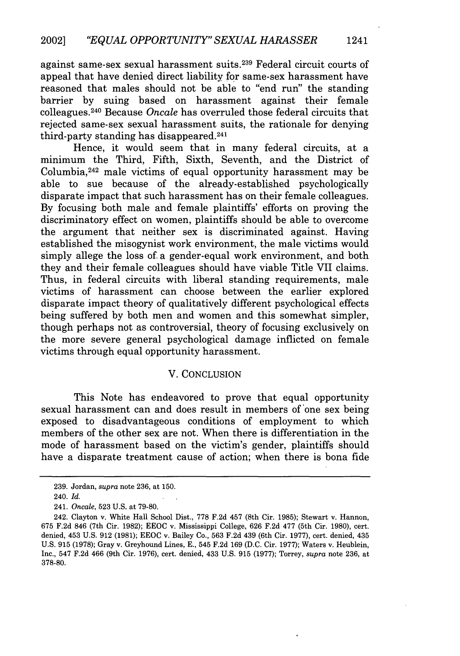against same-sex sexual harassment suits.239 Federal circuit courts of appeal that have denied direct liability for same-sex harassment have reasoned that males should not be able to "end run" the standing barrier by suing based on harassment against their female colleagues. 240 Because *Oncale* has overruled those federal circuits that rejected same-sex sexual harassment suits, the rationale for denying third-party standing has disappeared. <sup>241</sup>

Hence, it would seem that in many federal circuits, at a minimum the Third, Fifth, Sixth, Seventh, and the District of Columbia, 242 male victims of equal opportunity harassment may be able to sue because of the already-established psychologically disparate impact that such harassment has on their female colleagues. By focusing both male and female plaintiffs' efforts on proving the discriminatory effect on women, plaintiffs should be able to overcome the argument that neither sex is discriminated against. Having established the misogynist work environment, the male victims would simply allege the loss of. a gender-equal work environment, and both they and their female colleagues should have viable Title VII claims. Thus, in federal circuits with liberal standing requirements, male victims of harassment can choose between the earlier explored disparate impact theory of qualitatively different psychological effects being suffered by both men and women and this somewhat simpler, though perhaps not as controversial, theory of focusing exclusively on the more severe general psychological damage inflicted on female victims through equal opportunity harassment.

#### V. CONCLUSION

This Note has endeavored to prove that equal opportunity sexual harassment can and does result in members of 'one sex being exposed to disadvantageous conditions of employment to which members of the other sex are not. When there is differentiation in the mode of harassment based on the victim's gender, plaintiffs should have a disparate treatment cause of action; when there is bona fide

<sup>239.</sup> Jordan, *supra* note 236, at 150.

<sup>240.</sup> *Id.*

<sup>241.</sup> *Oncale,* 523 U.S. at 79-80.

<sup>242.</sup> Clayton v. White Hall School Dist., 778 F.2d 457 (8th Cir. 1985); Stewart v. Hannon, 675 F.2d 846 (7th Cir. 1982); EEOC v. Mississippi College, 626 F.2d 477 (5th Cir. 1980), cert. denied, 453 U.S. 912 (1981); EEOC v. Bailey Co., 563 F.2d 439 (6th Cir. 1977), cert. denied, 435 U.S. 915 (1978); Gray v. Greyhound Lines, E., 545 F.2d 169 (D.C. Cir. 1977); Waters v. Heublein, Inc., 547 F.2d 466 (9th Cir. 1976), cert. denied, 433 U.S. 915 (1977); Torrey, *supra* note 236, at 378-80.